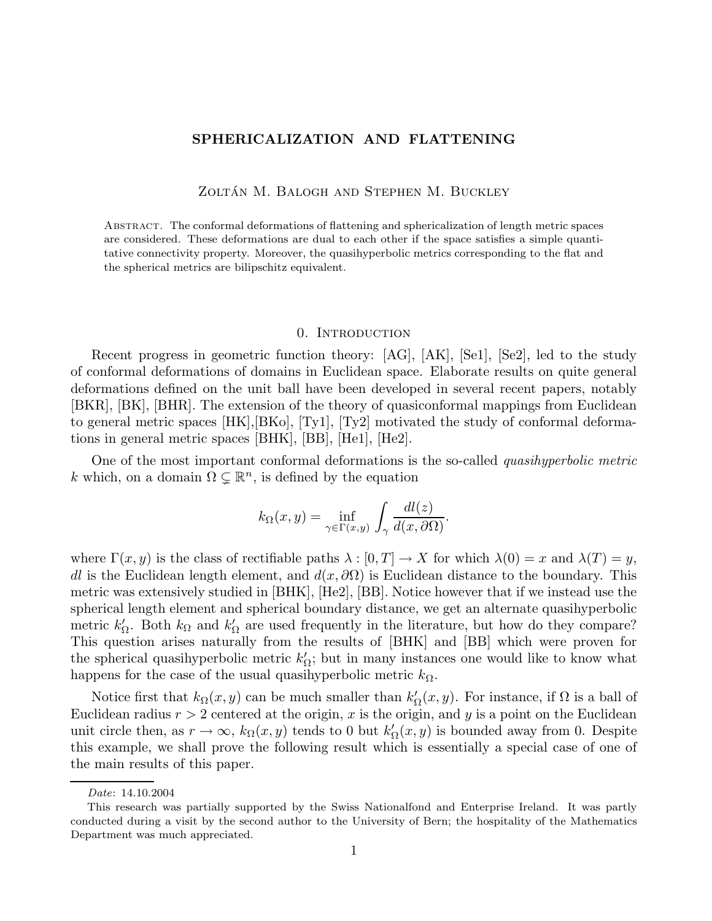# SPHERICALIZATION AND FLATTENING

ZOLTÁN M. BALOGH AND STEPHEN M. BUCKLEY

Abstract. The conformal deformations of flattening and sphericalization of length metric spaces are considered. These deformations are dual to each other if the space satisfies a simple quantitative connectivity property. Moreover, the quasihyperbolic metrics corresponding to the flat and the spherical metrics are bilipschitz equivalent.

#### 0. Introduction

Recent progress in geometric function theory: [AG], [AK], [Se1], [Se2], led to the study of conformal deformations of domains in Euclidean space. Elaborate results on quite general deformations defined on the unit ball have been developed in several recent papers, notably [BKR], [BK], [BHR]. The extension of the theory of quasiconformal mappings from Euclidean to general metric spaces [HK],[BKo], [Ty1], [Ty2] motivated the study of conformal deformations in general metric spaces [BHK], [BB], [He1], [He2].

One of the most important conformal deformations is the so-called *quasihyperbolic metric* k which, on a domain  $\Omega \subsetneq \mathbb{R}^n$ , is defined by the equation

$$
k_{\Omega}(x,y) = \inf_{\gamma \in \Gamma(x,y)} \int_{\gamma} \frac{dl(z)}{d(x,\partial \Omega)}.
$$

where  $\Gamma(x, y)$  is the class of rectifiable paths  $\lambda : [0, T] \to X$  for which  $\lambda(0) = x$  and  $\lambda(T) = y$ , dl is the Euclidean length element, and  $d(x, \partial\Omega)$  is Euclidean distance to the boundary. This metric was extensively studied in [BHK], [He2], [BB]. Notice however that if we instead use the spherical length element and spherical boundary distance, we get an alternate quasihyperbolic metric  $k'_{\Omega}$ . Both  $k_{\Omega}$  and  $k'_{\Omega}$  are used frequently in the literature, but how do they compare? This question arises naturally from the results of [BHK] and [BB] which were proven for the spherical quasihyperbolic metric  $k'_{\Omega}$ ; but in many instances one would like to know what happens for the case of the usual quasihyperbolic metric  $k_{\Omega}$ .

Notice first that  $k_{\Omega}(x, y)$  can be much smaller than  $k'_{\Omega}(x, y)$ . For instance, if  $\Omega$  is a ball of Euclidean radius  $r > 2$  centered at the origin, x is the origin, and y is a point on the Euclidean unit circle then, as  $r \to \infty$ ,  $k_{\Omega}(x, y)$  tends to 0 but  $k'_{\Omega}(x, y)$  is bounded away from 0. Despite this example, we shall prove the following result which is essentially a special case of one of the main results of this paper.

Date: 14.10.2004

This research was partially supported by the Swiss Nationalfond and Enterprise Ireland. It was partly conducted during a visit by the second author to the University of Bern; the hospitality of the Mathematics Department was much appreciated.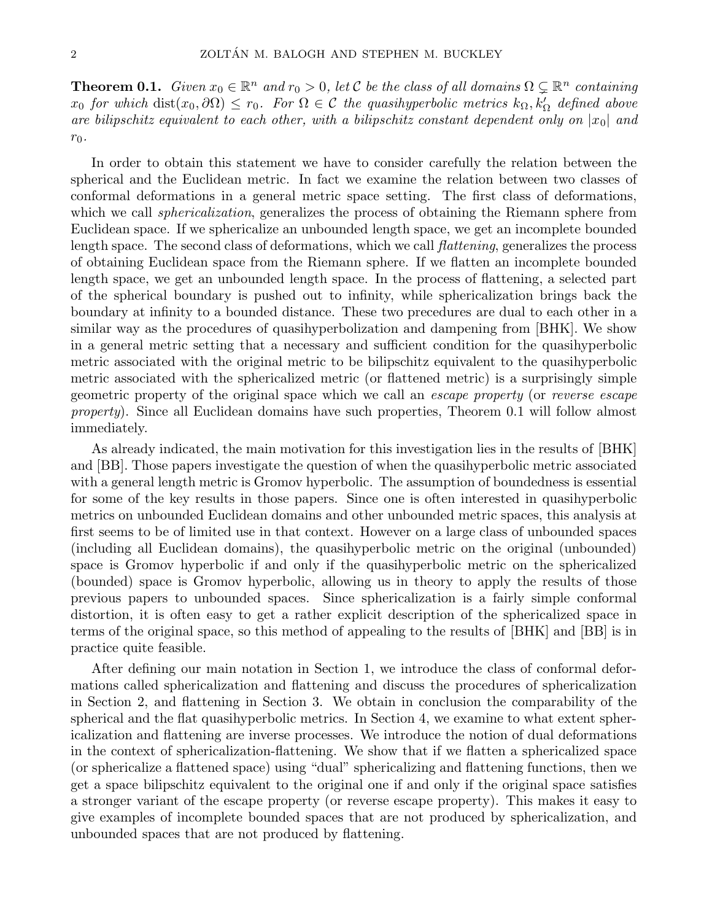**Theorem 0.1.** Given  $x_0 \in \mathbb{R}^n$  and  $r_0 > 0$ , let C be the class of all domains  $\Omega \subsetneq \mathbb{R}^n$  containing  $x_0$  for which  $dist(x_0, \partial \Omega) \leq r_0$ . For  $\Omega \in \mathcal{C}$  the quasihyperbolic metrics  $k_{\Omega}, k'_{\Omega}$  defined above are bilipschitz equivalent to each other, with a bilipschitz constant dependent only on  $|x_0|$  and  $r_0$ .

In order to obtain this statement we have to consider carefully the relation between the spherical and the Euclidean metric. In fact we examine the relation between two classes of conformal deformations in a general metric space setting. The first class of deformations, which we call *sphericalization*, generalizes the process of obtaining the Riemann sphere from Euclidean space. If we sphericalize an unbounded length space, we get an incomplete bounded length space. The second class of deformations, which we call flattening, generalizes the process of obtaining Euclidean space from the Riemann sphere. If we flatten an incomplete bounded length space, we get an unbounded length space. In the process of flattening, a selected part of the spherical boundary is pushed out to infinity, while sphericalization brings back the boundary at infinity to a bounded distance. These two precedures are dual to each other in a similar way as the procedures of quasihyperbolization and dampening from [BHK]. We show in a general metric setting that a necessary and sufficient condition for the quasihyperbolic metric associated with the original metric to be bilipschitz equivalent to the quasihyperbolic metric associated with the sphericalized metric (or flattened metric) is a surprisingly simple geometric property of the original space which we call an escape property (or reverse escape property). Since all Euclidean domains have such properties, Theorem 0.1 will follow almost immediately.

As already indicated, the main motivation for this investigation lies in the results of [BHK] and [BB]. Those papers investigate the question of when the quasihyperbolic metric associated with a general length metric is Gromov hyperbolic. The assumption of boundedness is essential for some of the key results in those papers. Since one is often interested in quasihyperbolic metrics on unbounded Euclidean domains and other unbounded metric spaces, this analysis at first seems to be of limited use in that context. However on a large class of unbounded spaces (including all Euclidean domains), the quasihyperbolic metric on the original (unbounded) space is Gromov hyperbolic if and only if the quasihyperbolic metric on the sphericalized (bounded) space is Gromov hyperbolic, allowing us in theory to apply the results of those previous papers to unbounded spaces. Since sphericalization is a fairly simple conformal distortion, it is often easy to get a rather explicit description of the sphericalized space in terms of the original space, so this method of appealing to the results of [BHK] and [BB] is in practice quite feasible.

After defining our main notation in Section 1, we introduce the class of conformal deformations called sphericalization and flattening and discuss the procedures of sphericalization in Section 2, and flattening in Section 3. We obtain in conclusion the comparability of the spherical and the flat quasihyperbolic metrics. In Section 4, we examine to what extent sphericalization and flattening are inverse processes. We introduce the notion of dual deformations in the context of sphericalization-flattening. We show that if we flatten a sphericalized space (or sphericalize a flattened space) using "dual" sphericalizing and flattening functions, then we get a space bilipschitz equivalent to the original one if and only if the original space satisfies a stronger variant of the escape property (or reverse escape property). This makes it easy to give examples of incomplete bounded spaces that are not produced by sphericalization, and unbounded spaces that are not produced by flattening.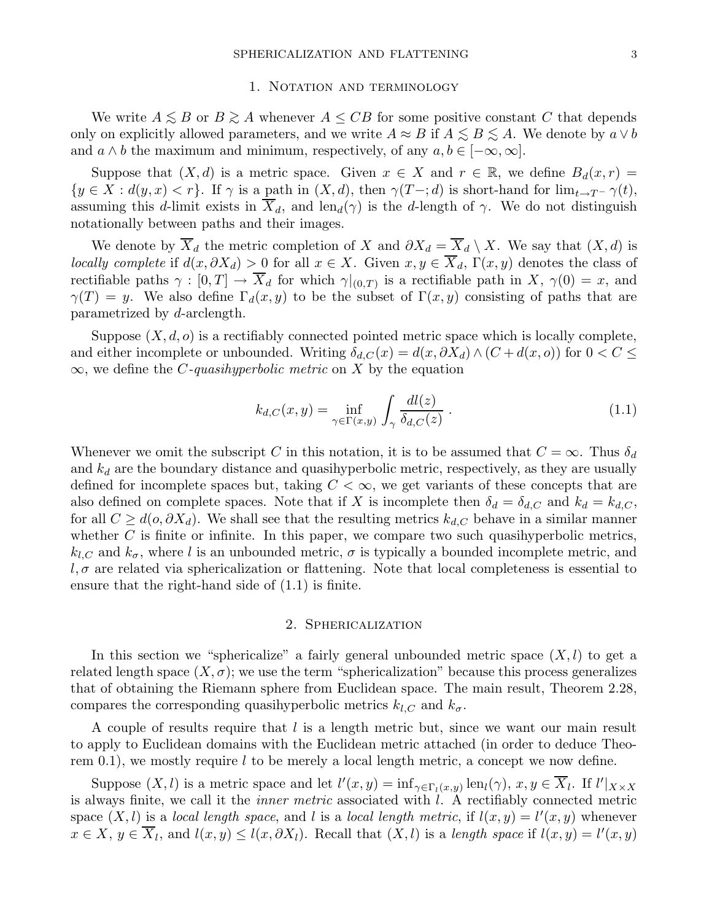#### 1. NOTATION AND TERMINOLOGY

We write  $A \leq B$  or  $B \geq A$  whenever  $A \leq CB$  for some positive constant C that depends only on explicitly allowed parameters, and we write  $A \approx B$  if  $A \leq B \leq A$ . We denote by  $a \vee b$ and  $a \wedge b$  the maximum and minimum, respectively, of any  $a, b \in [-\infty, \infty]$ .

Suppose that  $(X, d)$  is a metric space. Given  $x \in X$  and  $r \in \mathbb{R}$ , we define  $B_d(x, r) =$  $\{y \in X : d(y, x) < r\}$ . If  $\gamma$  is a path in  $(X, d)$ , then  $\gamma(T-\tau; d)$  is short-hand for  $\lim_{t \to T^-} \gamma(t)$ , assuming this d-limit exists in  $\overline{X}_d$ , and len $_d(\gamma)$  is the d-length of  $\gamma$ . We do not distinguish notationally between paths and their images.

We denote by  $\overline{X}_d$  the metric completion of X and  $\partial X_d = \overline{X}_d \setminus X$ . We say that  $(X, d)$  is locally complete if  $d(x, \partial X_d) > 0$  for all  $x \in X$ . Given  $x, y \in \overline{X}_d$ ,  $\Gamma(x, y)$  denotes the class of rectifiable paths  $\gamma : [0, T] \to X_d$  for which  $\gamma|_{(0,T)}$  is a rectifiable path in  $X$ ,  $\gamma(0) = x$ , and  $\gamma(T) = y$ . We also define  $\Gamma_d(x, y)$  to be the subset of  $\Gamma(x, y)$  consisting of paths that are parametrized by d-arclength.

Suppose  $(X, d, o)$  is a rectifiably connected pointed metric space which is locally complete, and either incomplete or unbounded. Writing  $\delta_{d,C}(x) = d(x, \partial X_d) \wedge (C + d(x, o))$  for  $0 < C \le$  $\infty$ , we define the *C*-quasihyperbolic metric on X by the equation

$$
k_{d,C}(x,y) = \inf_{\gamma \in \Gamma(x,y)} \int_{\gamma} \frac{dl(z)}{\delta_{d,C}(z)}.
$$
\n(1.1)

Whenever we omit the subscript C in this notation, it is to be assumed that  $C = \infty$ . Thus  $\delta_d$ and  $k_d$  are the boundary distance and quasihyperbolic metric, respectively, as they are usually defined for incomplete spaces but, taking  $C < \infty$ , we get variants of these concepts that are also defined on complete spaces. Note that if X is incomplete then  $\delta_d = \delta_{d,C}$  and  $k_d = k_{d,C}$ , for all  $C \geq d(o, \partial X_d)$ . We shall see that the resulting metrics  $k_{d,C}$  behave in a similar manner whether  $C$  is finite or infinite. In this paper, we compare two such quasihyperbolic metrics,  $k_{l,C}$  and  $k_{\sigma}$ , where l is an unbounded metric,  $\sigma$  is typically a bounded incomplete metric, and  $l, \sigma$  are related via sphericalization or flattening. Note that local completeness is essential to ensure that the right-hand side of (1.1) is finite.

## 2. Sphericalization

In this section we "sphericalize" a fairly general unbounded metric space  $(X, l)$  to get a related length space  $(X, \sigma)$ ; we use the term "sphericalization" because this process generalizes that of obtaining the Riemann sphere from Euclidean space. The main result, Theorem 2.28, compares the corresponding quasihyperbolic metrics  $k_{l,C}$  and  $k_{\sigma}$ .

A couple of results require that l is a length metric but, since we want our main result to apply to Euclidean domains with the Euclidean metric attached (in order to deduce Theorem 0.1), we mostly require  $l$  to be merely a local length metric, a concept we now define.

Suppose  $(X, l)$  is a metric space and let  $l'(x, y) = \inf_{\gamma \in \Gamma_l(x, y)} \text{len}_l(\gamma)$ ,  $x, y \in \overline{X}_l$ . If  $l'|_{X \times X}$ is always finite, we call it the inner metric associated with l. A rectifiably connected metric space  $(X, l)$  is a local length space, and l is a local length metric, if  $l(x, y) = l'(x, y)$  whenever  $x \in X$ ,  $y \in \overline{X}_l$ , and  $l(x, y) \le l(x, \partial X_l)$ . Recall that  $(X, l)$  is a length space if  $l(x, y) = l'(x, y)$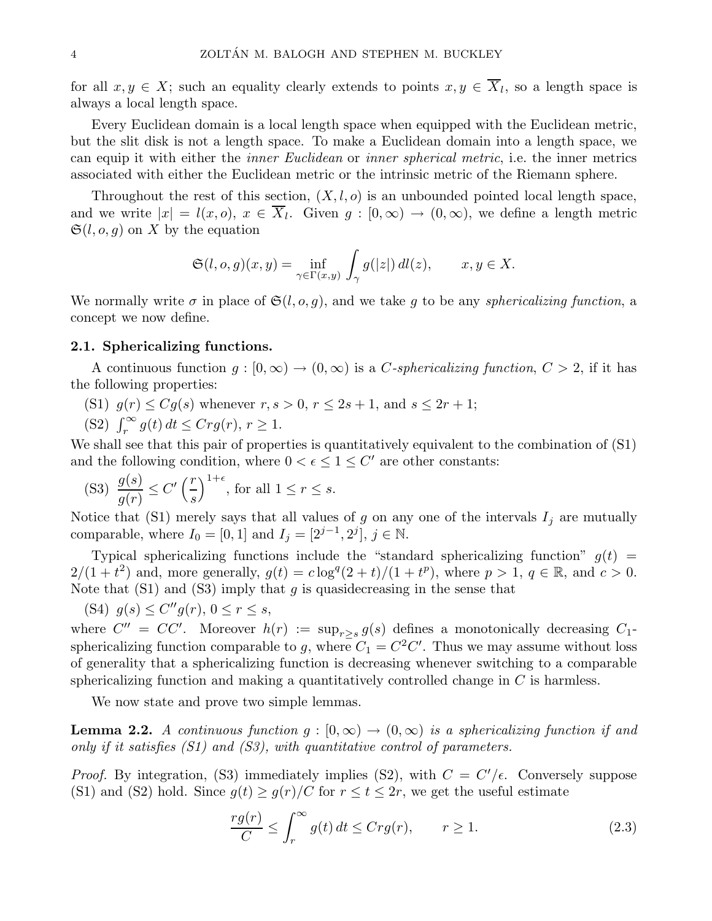for all  $x, y \in X$ ; such an equality clearly extends to points  $x, y \in X_l$ , so a length space is always a local length space.

Every Euclidean domain is a local length space when equipped with the Euclidean metric, but the slit disk is not a length space. To make a Euclidean domain into a length space, we can equip it with either the inner Euclidean or inner spherical metric, i.e. the inner metrics associated with either the Euclidean metric or the intrinsic metric of the Riemann sphere.

Throughout the rest of this section,  $(X, l, o)$  is an unbounded pointed local length space, and we write  $|x| = l(x, o), x \in X_l$ . Given  $g : [0, \infty) \to (0, \infty)$ , we define a length metric  $\mathfrak{S}(l, o, g)$  on X by the equation

$$
\mathfrak{S}(l, o, g)(x, y) = \inf_{\gamma \in \Gamma(x, y)} \int_{\gamma} g(|z|) dl(z), \qquad x, y \in X.
$$

We normally write  $\sigma$  in place of  $\mathfrak{S}(l, o, g)$ , and we take g to be any *sphericalizing function*, a concept we now define.

## 2.1. Sphericalizing functions.

A continuous function  $g : [0, \infty) \to (0, \infty)$  is a C-sphericalizing function,  $C > 2$ , if it has the following properties:

- (S1)  $g(r) \leq Cg(s)$  whenever  $r, s > 0, r \leq 2s + 1$ , and  $s \leq 2r + 1$ ;
- (S2)  $\int_r^{\infty} g(t) dt \leq C r g(r), r \geq 1.$

We shall see that this pair of properties is quantitatively equivalent to the combination of (S1) and the following condition, where  $0 < \epsilon \leq 1 \leq C'$  are other constants:

(S3) 
$$
\frac{g(s)}{g(r)} \le C' \left(\frac{r}{s}\right)^{1+\epsilon}
$$
, for all  $1 \le r \le s$ .

Notice that (S1) merely says that all values of g on any one of the intervals  $I_j$  are mutually comparable, where  $I_0 = [0, 1]$  and  $I_j = [2^{j-1}, 2^j]$ ,  $j \in \mathbb{N}$ .

Typical sphericalizing functions include the "standard sphericalizing function"  $q(t)$  =  $2/(1+t^2)$  and, more generally,  $g(t) = c \log^q(2+t)/(1+t^p)$ , where  $p > 1$ ,  $q \in \mathbb{R}$ , and  $c > 0$ . Note that  $(S1)$  and  $(S3)$  imply that g is quasidecreasing in the sense that

(S4)  $g(s) \leq C''g(r)$ ,  $0 \leq r \leq s$ ,

where  $C'' = CC'$ . Moreover  $h(r) := \sup_{r \geq s} g(s)$  defines a monotonically decreasing  $C_1$ sphericalizing function comparable to g, where  $C_1 = C^2 C'$ . Thus we may assume without loss of generality that a sphericalizing function is decreasing whenever switching to a comparable sphericalizing function and making a quantitatively controlled change in  $C$  is harmless.

We now state and prove two simple lemmas.

**Lemma 2.2.** A continuous function  $g : [0, \infty) \to (0, \infty)$  is a sphericalizing function if and only if it satisfies  $(S1)$  and  $(S3)$ , with quantitative control of parameters.

*Proof.* By integration, (S3) immediately implies (S2), with  $C = C'/\epsilon$ . Conversely suppose (S1) and (S2) hold. Since  $g(t) \geq g(r)/C$  for  $r \leq t \leq 2r$ , we get the useful estimate

$$
\frac{rg(r)}{C} \le \int_r^{\infty} g(t) dt \le Crg(r), \qquad r \ge 1.
$$
 (2.3)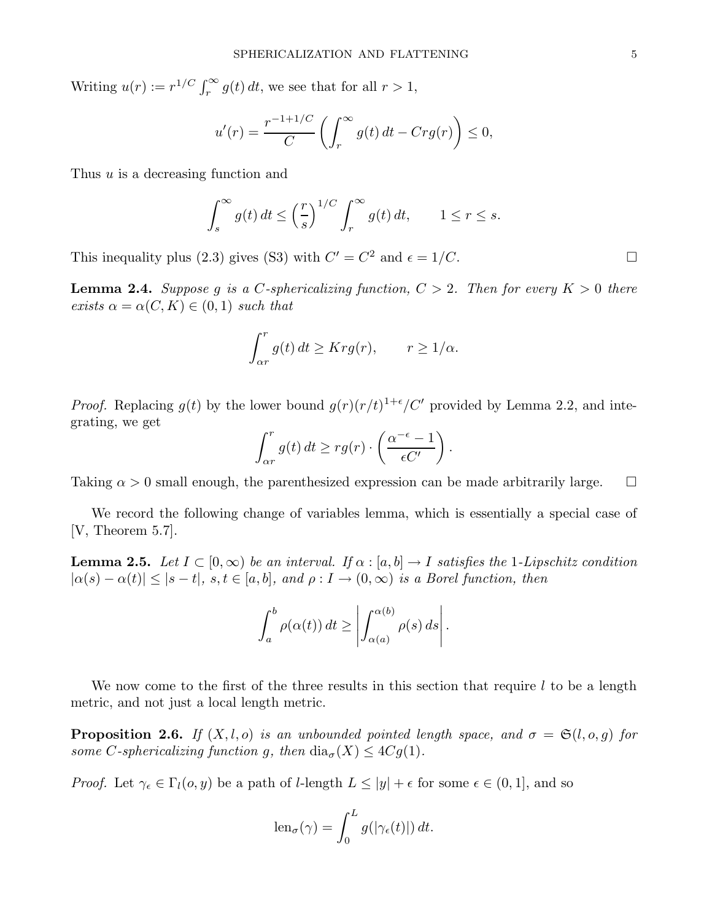Writing  $u(r) := r^{1/C} \int_r^{\infty} g(t) dt$ , we see that for all  $r > 1$ ,

$$
u'(r) = \frac{r^{-1+1/C}}{C} \left( \int_r^{\infty} g(t) dt - Crg(r) \right) \le 0,
$$

Thus u is a decreasing function and

$$
\int_s^{\infty} g(t) dt \le \left(\frac{r}{s}\right)^{1/C} \int_r^{\infty} g(t) dt, \qquad 1 \le r \le s.
$$

This inequality plus (2.3) gives (S3) with  $C' = C^2$  and  $\epsilon = 1/C$ .

**Lemma 2.4.** Suppose q is a C-sphericalizing function,  $C > 2$ . Then for every  $K > 0$  there exists  $\alpha = \alpha(C, K) \in (0, 1)$  such that

$$
\int_{\alpha r}^{r} g(t) dt \geq K r g(r), \qquad r \geq 1/\alpha.
$$

*Proof.* Replacing  $g(t)$  by the lower bound  $g(r)(r/t)^{1+\epsilon}/C'$  provided by Lemma 2.2, and integrating, we get

$$
\int_{\alpha r}^{r} g(t) dt \geq rg(r) \cdot \left(\frac{\alpha^{-\epsilon} - 1}{\epsilon C'}\right).
$$

Taking  $\alpha > 0$  small enough, the parenthesized expression can be made arbitrarily large.  $\Box$ 

We record the following change of variables lemma, which is essentially a special case of [V, Theorem 5.7].

**Lemma 2.5.** Let  $I \subset [0,\infty)$  be an interval. If  $\alpha : [a,b] \to I$  satisfies the 1-Lipschitz condition  $|\alpha(s) - \alpha(t)| \leq |s - t|$ ,  $s, t \in [a, b]$ , and  $\rho: I \to (0, \infty)$  is a Borel function, then

$$
\int_a^b \rho(\alpha(t)) dt \ge \left| \int_{\alpha(a)}^{\alpha(b)} \rho(s) ds \right|.
$$

We now come to the first of the three results in this section that require  $l$  to be a length metric, and not just a local length metric.

**Proposition 2.6.** If  $(X, l, o)$  is an unbounded pointed length space, and  $\sigma = \mathfrak{S}(l, o, g)$  for some C-sphericalizing function g, then  $\text{dia}_{\sigma}(X) \leq 4Cq(1)$ .

*Proof.* Let  $\gamma_{\epsilon} \in \Gamma_l(o, y)$  be a path of *l*-length  $L \leq |y| + \epsilon$  for some  $\epsilon \in (0, 1]$ , and so

$$
\operatorname{len}_{\sigma}(\gamma) = \int_0^L g(|\gamma_{\epsilon}(t)|) dt.
$$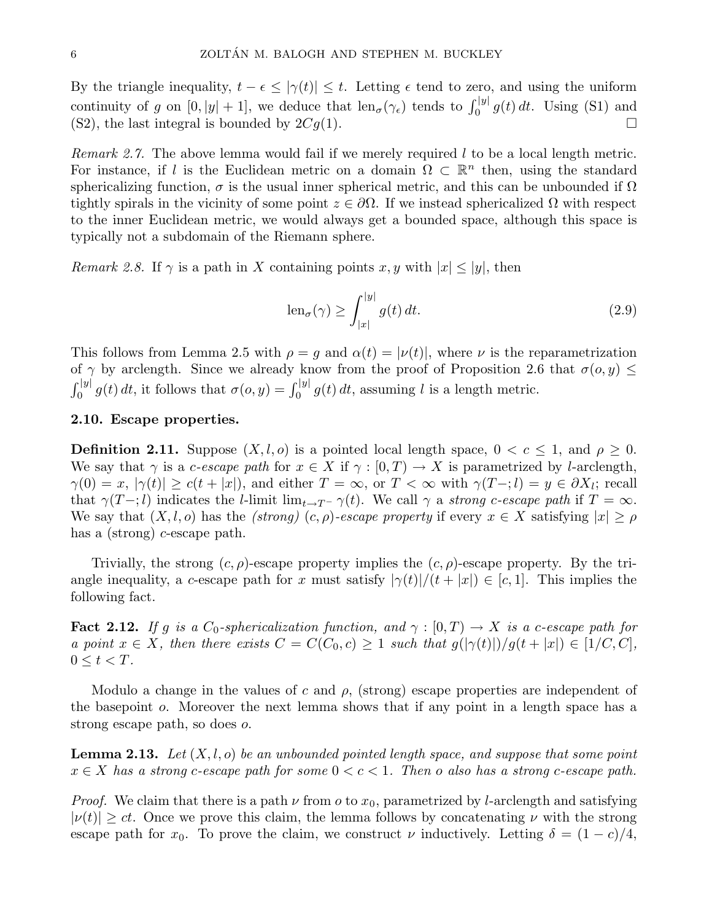By the triangle inequality,  $t - \epsilon \leq |\gamma(t)| \leq t$ . Letting  $\epsilon$  tend to zero, and using the uniform continuity of g on  $[0, |y| + 1]$ , we deduce that  $\text{len}_{\sigma}(\gamma_{\epsilon})$  tends to  $\int_0^{|y|} g(t) dt$ . Using (S1) and (S2), the last integral is bounded by  $2Cg(1)$ .

*Remark 2.7.* The above lemma would fail if we merely required  $l$  to be a local length metric. For instance, if l is the Euclidean metric on a domain  $\Omega \subset \mathbb{R}^n$  then, using the standard sphericalizing function,  $\sigma$  is the usual inner spherical metric, and this can be unbounded if  $\Omega$ tightly spirals in the vicinity of some point  $z \in \partial\Omega$ . If we instead sphericalized  $\Omega$  with respect to the inner Euclidean metric, we would always get a bounded space, although this space is typically not a subdomain of the Riemann sphere.

*Remark 2.8.* If  $\gamma$  is a path in X containing points x, y with  $|x| \le |y|$ , then

$$
\operatorname{len}_{\sigma}(\gamma) \ge \int_{|x|}^{|y|} g(t) dt. \tag{2.9}
$$

This follows from Lemma 2.5 with  $\rho = g$  and  $\alpha(t) = |\nu(t)|$ , where  $\nu$  is the reparametrization of  $\gamma$  by arclength. Since we already know from the proof of Proposition 2.6 that  $\sigma(o, y) \leq$  $\int_0^{|y|} g(t) dt$ , it follows that  $\sigma(o, y) = \int_0^{|y|} g(t) dt$ , assuming l is a length metric.

## 2.10. Escape properties.

**Definition 2.11.** Suppose  $(X, l, o)$  is a pointed local length space,  $0 < c \leq 1$ , and  $\rho \geq 0$ . We say that  $\gamma$  is a *c-escape path* for  $x \in X$  if  $\gamma : [0, T] \to X$  is parametrized by *l*-arclength,  $\gamma(0) = x, \ |\gamma(t)| \geq c(t + |x|),$  and either  $T = \infty$ , or  $T < \infty$  with  $\gamma(T -; l) = y \in \partial X_l$ ; recall that  $\gamma(T-\tau)$  indicates the *l*-limit lim<sub>t→T</sub>- $\gamma(t)$ . We call  $\gamma$  a strong c-escape path if  $T = \infty$ . We say that  $(X, l, o)$  has the *(strong)*  $(c, \rho)$ -escape property if every  $x \in X$  satisfying  $|x| \ge \rho$ has a (strong) c-escape path.

Trivially, the strong  $(c, \rho)$ -escape property implies the  $(c, \rho)$ -escape property. By the triangle inequality, a c-escape path for x must satisfy  $|\gamma(t)|/(t+|x|) \in [c, 1]$ . This implies the following fact.

**Fact 2.12.** If g is a  $C_0$ -sphericalization function, and  $\gamma : [0, T] \to X$  is a c-escape path for a point  $x \in X$ , then there exists  $C = C(C_0, c) \geq 1$  such that  $g(|\gamma(t)|)/g(t+|x|) \in [1/C, C]$ ,  $0 \leq t < T$ .

Modulo a change in the values of c and  $\rho$ , (strong) escape properties are independent of the basepoint o. Moreover the next lemma shows that if any point in a length space has a strong escape path, so does o.

**Lemma 2.13.** Let  $(X, l, o)$  be an unbounded pointed length space, and suppose that some point  $x \in X$  has a strong c-escape path for some  $0 < c < 1$ . Then o also has a strong c-escape path.

*Proof.* We claim that there is a path  $\nu$  from  $\sigma$  to  $x_0$ , parametrized by l-arclength and satisfying  $|\nu(t)| \geq ct$ . Once we prove this claim, the lemma follows by concatenating  $\nu$  with the strong escape path for  $x_0$ . To prove the claim, we construct  $\nu$  inductively. Letting  $\delta = (1 - c)/4$ ,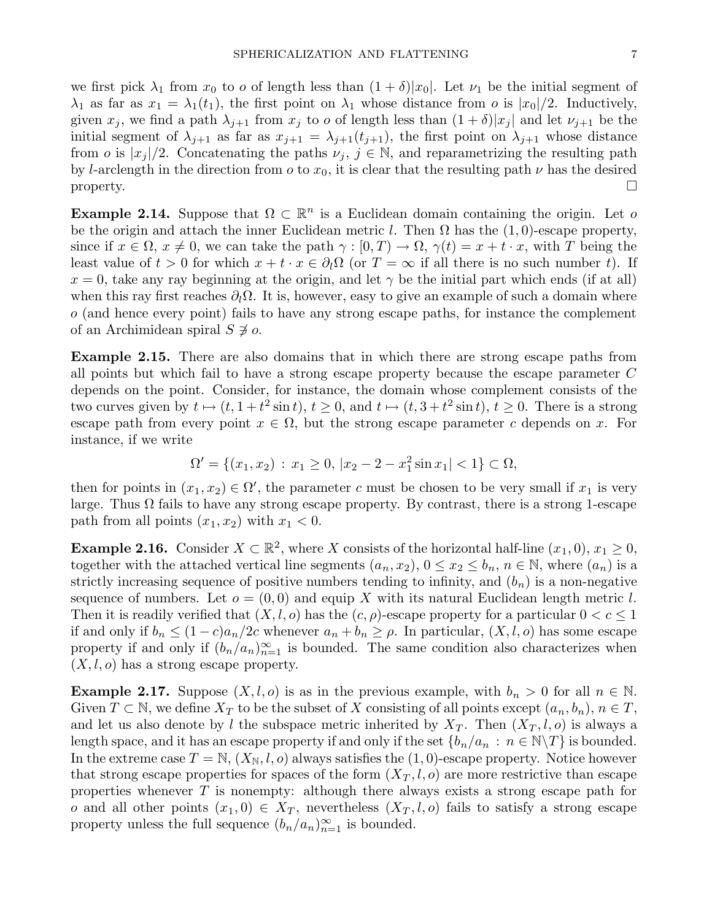we first pick  $\lambda_1$  from  $x_0$  to o of length less than  $(1 + \delta)|x_0|$ . Let  $\nu_1$  be the initial segment of  $\lambda_1$  as far as  $x_1 = \lambda_1(t_1)$ , the first point on  $\lambda_1$  whose distance from *o* is  $|x_0|/2$ . Inductively, given  $x_j$ , we find a path  $\lambda_{j+1}$  from  $x_j$  to *o* of length less than  $(1+\delta)|x_j|$  and let  $\nu_{j+1}$  be the initial segment of  $\lambda_{j+1}$  as far as  $x_{j+1} = \lambda_{j+1}(t_{j+1})$ , the first point on  $\lambda_{j+1}$  whose distance from *o* is  $|x_i|/2$ . Concatenating the paths  $\nu_j$ ,  $j \in \mathbb{N}$ , and reparametrizing the resulting path by l-arclength in the direction from  $\sigma$  to  $x_0$ , it is clear that the resulting path  $\nu$  has the desired  $\Box$ 

**Example 2.14.** Suppose that  $\Omega \subset \mathbb{R}^n$  is a Euclidean domain containing the origin. Let o be the origin and attach the inner Euclidean metric l. Then  $\Omega$  has the  $(1, 0)$ -escape property, since if  $x \in \Omega$ ,  $x \neq 0$ , we can take the path  $\gamma : [0, T) \to \Omega$ ,  $\gamma(t) = x + t \cdot x$ , with T being the least value of  $t > 0$  for which  $x + t \cdot x \in \partial_l \Omega$  (or  $T = \infty$  if all there is no such number t). If  $x = 0$ , take any ray beginning at the origin, and let  $\gamma$  be the initial part which ends (if at all) when this ray first reaches  $\partial_{l}\Omega$ . It is, however, easy to give an example of such a domain where  $\sigma$  (and hence every point) fails to have any strong escape paths, for instance the complement of an Archimidean spiral  $S \not\ni o$ .

Example 2.15. There are also domains that in which there are strong escape paths from all points but which fail to have a strong escape property because the escape parameter C depends on the point. Consider, for instance, the domain whose complement consists of the two curves given by  $t \mapsto (t, 1 + t^2 \sin t), t \ge 0$ , and  $t \mapsto (t, 3 + t^2 \sin t), t \ge 0$ . There is a strong escape path from every point  $x \in \Omega$ , but the strong escape parameter c depends on x. For instance, if we write

$$
\Omega' = \{(x_1, x_2) : x_1 \ge 0, |x_2 - 2 - x_1^2 \sin x_1| < 1\} \subset \Omega,
$$

then for points in  $(x_1, x_2) \in \Omega'$ , the parameter c must be chosen to be very small if  $x_1$  is very large. Thus  $\Omega$  fails to have any strong escape property. By contrast, there is a strong 1-escape path from all points  $(x_1, x_2)$  with  $x_1 < 0$ .

**Example 2.16.** Consider  $X \subset \mathbb{R}^2$ , where X consists of the horizontal half-line  $(x_1, 0), x_1 \ge 0$ , together with the attached vertical line segments  $(a_n, x_2)$ ,  $0 \le x_2 \le b_n$ ,  $n \in \mathbb{N}$ , where  $(a_n)$  is a strictly increasing sequence of positive numbers tending to infinity, and  $(b_n)$  is a non-negative sequence of numbers. Let  $o = (0,0)$  and equip X with its natural Euclidean length metric l. Then it is readily verified that  $(X, l, o)$  has the  $(c, \rho)$ -escape property for a particular  $0 < c \leq 1$ if and only if  $b_n \leq (1-c)a_n/2c$  whenever  $a_n + b_n \geq \rho$ . In particular,  $(X, l, o)$  has some escape property if and only if  $(b_n/a_n)_{n=1}^{\infty}$  is bounded. The same condition also characterizes when  $(X, l, o)$  has a strong escape property.

**Example 2.17.** Suppose  $(X, l, o)$  is as in the previous example, with  $b_n > 0$  for all  $n \in \mathbb{N}$ . Given  $T \subset \mathbb{N}$ , we define  $X_T$  to be the subset of X consisting of all points except  $(a_n, b_n), n \in T$ , and let us also denote by l the subspace metric inherited by  $X_T$ . Then  $(X_T, l, o)$  is always a length space, and it has an escape property if and only if the set  ${b_n/a_n : n \in \mathbb{N} \backslash T}$  is bounded. In the extreme case  $T = \mathbb{N}, (X_{\mathbb{N}}, l, o)$  always satisfies the  $(1, 0)$ -escape property. Notice however that strong escape properties for spaces of the form  $(X_T, l, o)$  are more restrictive than escape properties whenever  $T$  is nonempty: although there always exists a strong escape path for o and all other points  $(x_1, 0) \in X_T$ , nevertheless  $(X_T, l, o)$  fails to satisfy a strong escape property unless the full sequence  $(b_n/a_n)_{n=1}^{\infty}$  is bounded.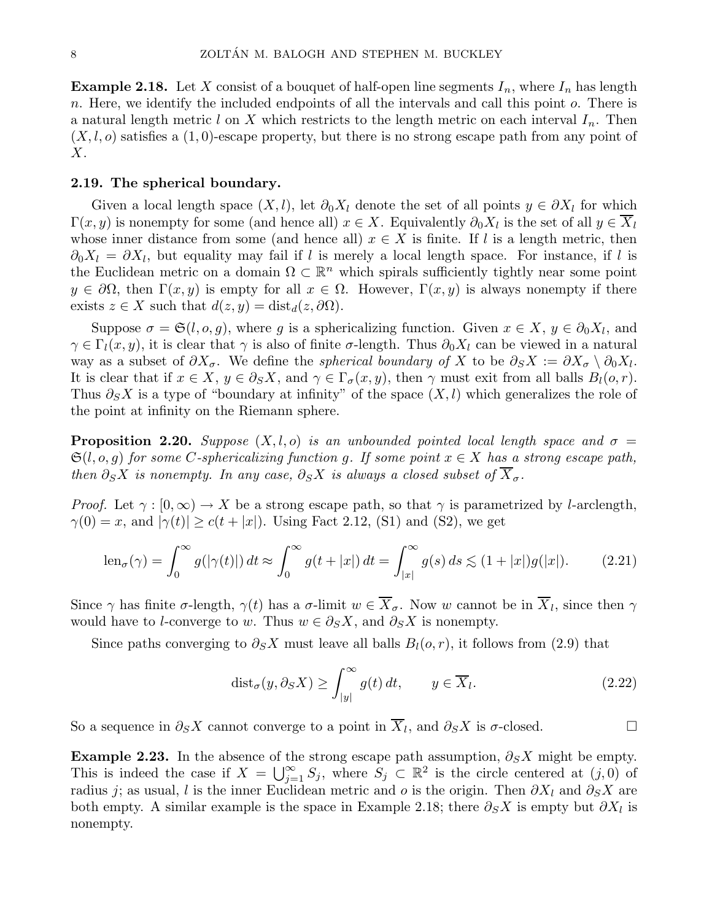**Example 2.18.** Let X consist of a bouquet of half-open line segments  $I_n$ , where  $I_n$  has length n. Here, we identify the included endpoints of all the intervals and call this point  $o$ . There is a natural length metric l on X which restricts to the length metric on each interval  $I_n$ . Then  $(X, l, o)$  satisfies a  $(1, 0)$ -escape property, but there is no strong escape path from any point of  $X$ .

#### 2.19. The spherical boundary.

Given a local length space  $(X, l)$ , let  $\partial_0 X_l$  denote the set of all points  $y \in \partial X_l$  for which  $\Gamma(x, y)$  is nonempty for some (and hence all)  $x \in X$ . Equivalently  $\partial_0 X_l$  is the set of all  $y \in X_l$ whose inner distance from some (and hence all)  $x \in X$  is finite. If l is a length metric, then  $\partial_0 X_l = \partial X_l$ , but equality may fail if l is merely a local length space. For instance, if l is the Euclidean metric on a domain  $\Omega \subset \mathbb{R}^n$  which spirals sufficiently tightly near some point  $y \in \partial\Omega$ , then  $\Gamma(x, y)$  is empty for all  $x \in \Omega$ . However,  $\Gamma(x, y)$  is always nonempty if there exists  $z \in X$  such that  $d(z, y) = \text{dist}_d(z, \partial \Omega)$ .

Suppose  $\sigma = \mathfrak{S}(l, o, g)$ , where g is a sphericalizing function. Given  $x \in X$ ,  $y \in \partial_0 X_l$ , and  $\gamma \in \Gamma_l(x, y)$ , it is clear that  $\gamma$  is also of finite  $\sigma$ -length. Thus  $\partial_0 X_l$  can be viewed in a natural way as a subset of  $\partial X_{\sigma}$ . We define the *spherical boundary of* X to be  $\partial_S X := \partial X_{\sigma} \setminus \partial_0 X_l$ . It is clear that if  $x \in X$ ,  $y \in \partial_S X$ , and  $\gamma \in \Gamma_{\sigma}(x, y)$ , then  $\gamma$  must exit from all balls  $B_l(o, r)$ . Thus  $\partial_S X$  is a type of "boundary at infinity" of the space  $(X, l)$  which generalizes the role of the point at infinity on the Riemann sphere.

**Proposition 2.20.** Suppose  $(X, l, o)$  is an unbounded pointed local length space and  $\sigma =$  $\mathfrak{S}(l, o, g)$  for some C-sphericalizing function g. If some point  $x \in X$  has a strong escape path, then  $\partial_S X$  is nonempty. In any case,  $\partial_S X$  is always a closed subset of  $\overline{X}_{\sigma}$ .

*Proof.* Let  $\gamma : [0, \infty) \to X$  be a strong escape path, so that  $\gamma$  is parametrized by l-arclength,  $\gamma(0) = x$ , and  $|\gamma(t)| \ge c(t + |x|)$ . Using Fact 2.12, (S1) and (S2), we get

$$
\operatorname{len}_{\sigma}(\gamma) = \int_0^{\infty} g(|\gamma(t)|) dt \approx \int_0^{\infty} g(t+|x|) dt = \int_{|x|}^{\infty} g(s) ds \lesssim (1+|x|)g(|x|). \tag{2.21}
$$

Since  $\gamma$  has finite  $\sigma$ -length,  $\gamma(t)$  has a  $\sigma$ -limit  $w \in X_{\sigma}$ . Now w cannot be in  $X_{l}$ , since then  $\gamma$ would have to *l*-converge to w. Thus  $w \in \partial_S X$ , and  $\partial_S X$  is nonempty.

Since paths converging to  $\partial_S X$  must leave all balls  $B_l(o, r)$ , it follows from (2.9) that

$$
dist_{\sigma}(y,\partial_{S}X) \ge \int_{|y|}^{\infty} g(t) dt, \qquad y \in \overline{X}_{l}.
$$
 (2.22)

So a sequence in  $\partial_S X$  cannot converge to a point in  $\overline{X}_l$ , and  $\partial_S X$  is  $\sigma$ -closed.

Example 2.23. In the absence of the strong escape path assumption,  $\partial_S X$  might be empty. This is indeed the case if  $X = \bigcup_{j=1}^{\infty} S_j$ , where  $S_j \subset \mathbb{R}^2$  is the circle centered at  $(j,0)$  of radius j; as usual, l is the inner Euclidean metric and o is the origin. Then  $\partial X_l$  and  $\partial_S X$  are both empty. A similar example is the space in Example 2.18; there  $\partial_S X$  is empty but  $\partial X_l$  is nonempty.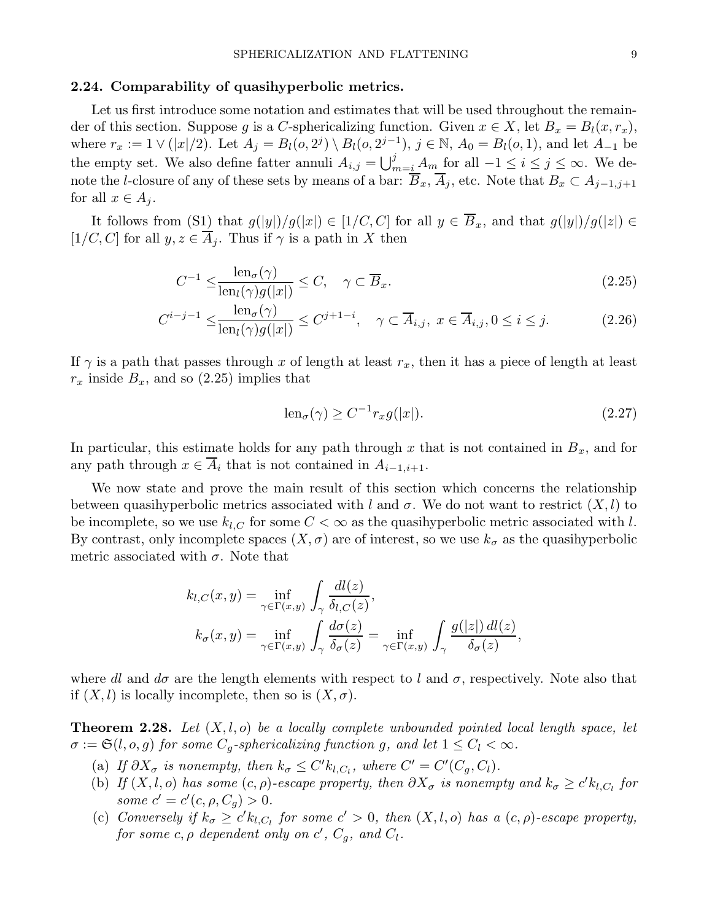#### 2.24. Comparability of quasihyperbolic metrics.

Let us first introduce some notation and estimates that will be used throughout the remainder of this section. Suppose g is a C-sphericalizing function. Given  $x \in X$ , let  $B_x = B_l(x, r_x)$ , where  $r_x := 1 \vee (|x|/2)$ . Let  $A_j = B_l(o, 2^j) \setminus B_l(o, 2^{j-1}), j \in \mathbb{N}, A_0 = B_l(o, 1)$ , and let  $A_{-1}$  be the empty set. We also define fatter annuli  $A_{i,j} = \bigcup_{m=i}^{j} A_m$  for all  $-1 \leq i \leq j \leq \infty$ . We denote the l-closure of any of these sets by means of a bar:  $\overline{B}_x$ ,  $\overline{A}_j$ , etc. Note that  $B_x \subset A_{j-1,j+1}$ for all  $x \in A_j$ .

It follows from  $(S_1)$  that  $g(|y|)/g(|x|) \in [1/C, C]$  for all  $y \in \overline{B}_x$ , and that  $g(|y|)/g(|z|) \in$ [1/C, C] for all  $y, z \in \overline{A}_j$ . Thus if  $\gamma$  is a path in X then

$$
C^{-1} \le \frac{\operatorname{len}_{\sigma}(\gamma)}{\operatorname{len}_{l}(\gamma)g(|x|)} \le C, \quad \gamma \subset \overline{B}_x. \tag{2.25}
$$

$$
C^{i-j-1} \le \frac{\operatorname{len}_{\sigma}(\gamma)}{\operatorname{len}_{l}(\gamma)g(|x|)} \le C^{j+1-i}, \quad \gamma \subset \overline{A}_{i,j}, \ x \in \overline{A}_{i,j}, 0 \le i \le j. \tag{2.26}
$$

If  $\gamma$  is a path that passes through x of length at least  $r_x$ , then it has a piece of length at least  $r_x$  inside  $B_x$ , and so (2.25) implies that

$$
\operatorname{len}_{\sigma}(\gamma) \ge C^{-1} r_x g(|x|). \tag{2.27}
$$

In particular, this estimate holds for any path through x that is not contained in  $B_x$ , and for any path through  $x \in \overline{A}_i$  that is not contained in  $A_{i-1,i+1}$ .

We now state and prove the main result of this section which concerns the relationship between quasihyperbolic metrics associated with l and  $\sigma$ . We do not want to restrict  $(X, l)$  to be incomplete, so we use  $k_{l,C}$  for some  $C < \infty$  as the quasihyperbolic metric associated with l. By contrast, only incomplete spaces  $(X, \sigma)$  are of interest, so we use  $k_{\sigma}$  as the quasihyperbolic metric associated with  $\sigma$ . Note that

$$
k_{l,C}(x,y) = \inf_{\gamma \in \Gamma(x,y)} \int_{\gamma} \frac{dl(z)}{\delta_{l,C}(z)},
$$
  
\n
$$
k_{\sigma}(x,y) = \inf_{\gamma \in \Gamma(x,y)} \int_{\gamma} \frac{d\sigma(z)}{\delta_{\sigma}(z)} = \inf_{\gamma \in \Gamma(x,y)} \int_{\gamma} \frac{g(|z|) dl(z)}{\delta_{\sigma}(z)},
$$

where dl and  $d\sigma$  are the length elements with respect to l and  $\sigma$ , respectively. Note also that if  $(X, l)$  is locally incomplete, then so is  $(X, \sigma)$ .

**Theorem 2.28.** Let  $(X, l, o)$  be a locally complete unbounded pointed local length space, let  $\sigma := \mathfrak{S}(l, o, g)$  for some  $C_q$ -sphericalizing function g, and let  $1 \leq C_l < \infty$ .

- (a) If  $\partial X_{\sigma}$  is nonempty, then  $k_{\sigma} \leq C' k_{l,C_l}$ , where  $C' = C'(C_g, C_l)$ .
- (b) If  $(X, l, o)$  has some  $(c, \rho)$ -escape property, then  $\partial X_{\sigma}$  is nonempty and  $k_{\sigma} \geq c' k_{l, C_l}$  for some  $c' = c'(c, \rho, C_g) > 0$ .
- (c) Conversely if  $k_{\sigma} \geq c' k_{l,C_l}$  for some  $c' > 0$ , then  $(X, l, o)$  has a  $(c, \rho)$ -escape property, for some  $c, \rho$  dependent only on  $c', C_g$ , and  $C_l$ .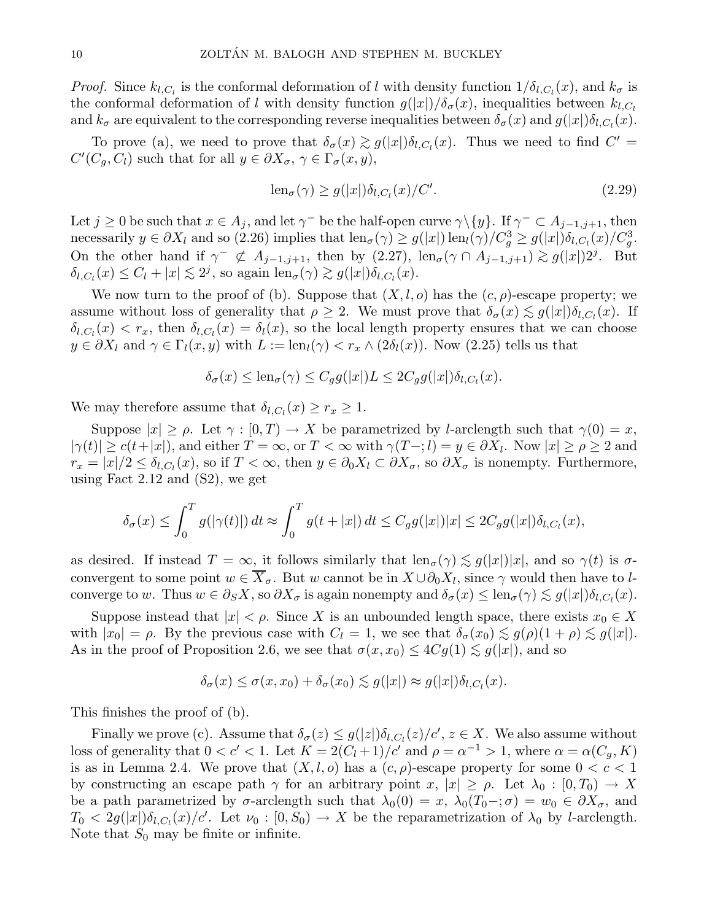*Proof.* Since  $k_{l,C_l}$  is the conformal deformation of l with density function  $1/\delta_{l,C_l}(x)$ , and  $k_{\sigma}$  is the conformal deformation of l with density function  $g(|x|)/\delta_{\sigma}(x)$ , inequalities between  $k_{l,C_l}$ and  $k_{\sigma}$  are equivalent to the corresponding reverse inequalities between  $\delta_{\sigma}(x)$  and  $g(|x|)\delta_{l,C_l}(x)$ .

To prove (a), we need to prove that  $\delta_{\sigma}(x) \gtrsim g(|x|) \delta_{l,C_l}(x)$ . Thus we need to find  $C' =$  $C'(C_g, C_l)$  such that for all  $y \in \partial X_\sigma, \, \gamma \in \Gamma_\sigma(x, y),$ 

$$
\operatorname{len}_{\sigma}(\gamma) \ge g(|x|) \delta_{l,C_l}(x) / C'. \tag{2.29}
$$

Let  $j \geq 0$  be such that  $x \in A_j$ , and let  $\gamma^-$  be the half-open curve  $\gamma \setminus \{y\}$ . If  $\gamma^- \subset A_{j-1,j+1}$ , then necessarily  $y \in \partial X_l$  and so (2.26) implies that  $\text{len}_{\sigma}(\gamma) \ge g(|x|) \text{len}_l(\gamma) / C_g^3 \ge g(|x|) \delta_{l,C_l}(x) / C_g^3$ . On the other hand if  $\gamma^- \not\subset A_{j-1,j+1}$ , then by  $(2.27)$ , len<sub> $\sigma$ </sub> $(\gamma \cap A_{j-1,j+1}) \gtrsim g(|x|)2^j$ . But  $\delta_{l,C_l}(x) \leq C_l + |x| \lesssim 2^j$ , so again  $\text{len}_{\sigma}(\gamma) \gtrsim g(|x|) \delta_{l,C_l}(x)$ .

We now turn to the proof of (b). Suppose that  $(X, l, o)$  has the  $(c, \rho)$ -escape property; we assume without loss of generality that  $\rho \geq 2$ . We must prove that  $\delta_{\sigma}(x) \lesssim g(|x|) \delta_{l,C_l}(x)$ . If  $\delta_{l,C_l}(x) < r_x$ , then  $\delta_{l,C_l}(x) = \delta_l(x)$ , so the local length property ensures that we can choose  $y \in \partial X_l$  and  $\gamma \in \Gamma_l(x, y)$  with  $L := \text{len}_l(\gamma) < r_x \wedge (2\delta_l(x))$ . Now  $(2.25)$  tells us that

$$
\delta_{\sigma}(x) \leq \mathrm{len}_{\sigma}(\gamma) \leq C_g g(|x|) L \leq 2C_g g(|x|) \delta_{l,C_l}(x).
$$

We may therefore assume that  $\delta_{l,C_l}(x) \geq r_x \geq 1$ .

Suppose  $|x| \ge \rho$ . Let  $\gamma : [0, T] \to X$  be parametrized by *l*-arclength such that  $\gamma(0) = x$ ,  $|\gamma(t)| \ge c(t+|x|)$ , and either  $T = \infty$ , or  $T < \infty$  with  $\gamma(T-1) = y \in \partial X_l$ . Now  $|x| \ge \rho \ge 2$  and  $r_x = |x|/2 \le \delta_{l,C_l}(x)$ , so if  $T < \infty$ , then  $y \in \partial_0 X_l \subset \partial X_\sigma$ , so  $\partial X_\sigma$  is nonempty. Furthermore, using Fact 2.12 and (S2), we get

$$
\delta_{\sigma}(x) \leq \int_0^T g(|\gamma(t)|) dt \approx \int_0^T g(t+|x|) dt \leq C_g g(|x|) |x| \leq 2C_g g(|x|) \delta_{l,C_l}(x),
$$

as desired. If instead  $T = \infty$ , it follows similarly that  $\text{len}_{\sigma}(\gamma) \lesssim g(|x|)|x|$ , and so  $\gamma(t)$  is  $\sigma$ convergent to some point  $w \in X_{\sigma}$ . But w cannot be in  $X \cup \partial_0 X_l$ , since  $\gamma$  would then have to lconverge to w. Thus  $w \in \partial_S X$ , so  $\partial X_{\sigma}$  is again nonempty and  $\delta_{\sigma}(x) \leq \text{len}_{\sigma}(\gamma) \lesssim g(|x|) \delta_{l,C_l}(x)$ .

Suppose instead that  $|x| < \rho$ . Since X is an unbounded length space, there exists  $x_0 \in X$ with  $|x_0| = \rho$ . By the previous case with  $C_l = 1$ , we see that  $\delta_{\sigma}(x_0) \lesssim g(\rho)(1 + \rho) \lesssim g(|x|)$ . As in the proof of Proposition 2.6, we see that  $\sigma(x, x_0) \leq 4Cg(1) \lesssim g(|x|)$ , and so

$$
\delta_{\sigma}(x) \leq \sigma(x, x_0) + \delta_{\sigma}(x_0) \lesssim g(|x|) \approx g(|x|) \delta_{l, C_l}(x).
$$

This finishes the proof of (b).

Finally we prove (c). Assume that  $\delta_{\sigma}(z) \leq g(|z|) \delta_{l,C_l}(z)/c', z \in X$ . We also assume without loss of generality that  $0 < c' < 1$ . Let  $K = 2(C_l + 1)/c'$  and  $\rho = \alpha^{-1} > 1$ , where  $\alpha = \alpha(C_g, K)$ is as in Lemma 2.4. We prove that  $(X, l, o)$  has a  $(c, \rho)$ -escape property for some  $0 < c < 1$ by constructing an escape path  $\gamma$  for an arbitrary point  $x, |x| \ge \rho$ . Let  $\lambda_0 : [0, T_0] \to X$ be a path parametrized by  $\sigma$ -arclength such that  $\lambda_0(0) = x$ ,  $\lambda_0(T_0 - \sigma) = w_0 \in \partial X_{\sigma}$ , and  $T_0 < 2g(|x|)\delta_{l,C_l}(x)/c'$ . Let  $\nu_0 : [0, S_0) \to X$  be the reparametrization of  $\lambda_0$  by *l*-arclength. Note that  $S_0$  may be finite or infinite.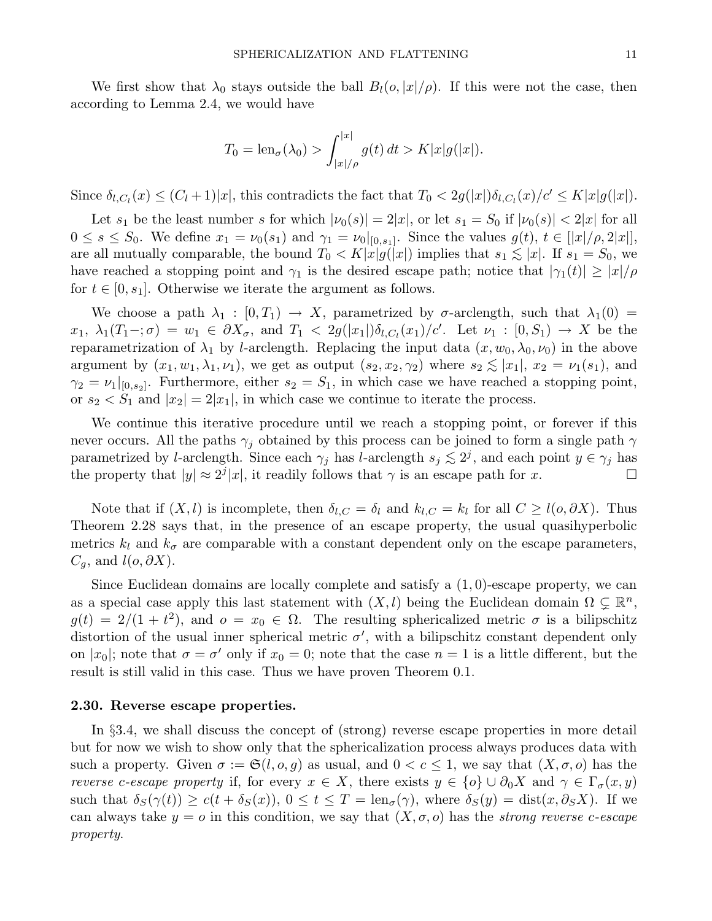We first show that  $\lambda_0$  stays outside the ball  $B_l(o, |x|/\rho)$ . If this were not the case, then according to Lemma 2.4, we would have

$$
T_0 = \text{len}_{\sigma}(\lambda_0) > \int_{|x|/\rho}^{|x|} g(t) dt > K|x|g(|x|).
$$

Since  $\delta_{l,C_l}(x) \leq (C_l+1)|x|$ , this contradicts the fact that  $T_0 < 2g(|x|)\delta_{l,C_l}(x)/c' \leq K|x|g(|x|)$ .

Let  $s_1$  be the least number s for which  $|\nu_0(s)| = 2|x|$ , or let  $s_1 = S_0$  if  $|\nu_0(s)| < 2|x|$  for all  $0 \leq s \leq S_0$ . We define  $x_1 = \nu_0(s_1)$  and  $\gamma_1 = \nu_0|_{[0,s_1]}$ . Since the values  $g(t), t \in [|x|/\rho, 2|x|]$ , are all mutually comparable, the bound  $T_0 < K|x|g(|x|)$  implies that  $s_1 \lesssim |x|$ . If  $s_1 = S_0$ , we have reached a stopping point and  $\gamma_1$  is the desired escape path; notice that  $|\gamma_1(t)| \geq |x|/\rho$ for  $t \in [0, s_1]$ . Otherwise we iterate the argument as follows.

We choose a path  $\lambda_1 : [0, T_1) \to X$ , parametrized by  $\sigma$ -arclength, such that  $\lambda_1(0) =$  $x_1, \lambda_1(T_1-\mathbf{;}\sigma) = w_1 \in \partial X_{\sigma}$ , and  $T_1 < 2g(|x_1|)\delta_{l,C_l}(x_1)/c'$ . Let  $\nu_1 : [0, S_1) \to X$  be the reparametrization of  $\lambda_1$  by *l*-arclength. Replacing the input data  $(x, w_0, \lambda_0, \nu_0)$  in the above argument by  $(x_1, w_1, \lambda_1, \nu_1)$ , we get as output  $(s_2, x_2, \gamma_2)$  where  $s_2 \lesssim |x_1|, x_2 = \nu_1(s_1)$ , and  $\gamma_2 = \nu_1|_{[0,s_2]}$ . Furthermore, either  $s_2 = S_1$ , in which case we have reached a stopping point, or  $s_2 < S_1$  and  $|x_2| = 2|x_1|$ , in which case we continue to iterate the process.

We continue this iterative procedure until we reach a stopping point, or forever if this never occurs. All the paths  $\gamma_j$  obtained by this process can be joined to form a single path  $\gamma$ parametrized by l-arclength. Since each  $\gamma_j$  has l-arclength  $s_j \lesssim 2^j$ , and each point  $y \in \gamma_j$  has the property that  $|y| \approx 2^{j} |x|$ , it readily follows that  $\gamma$  is an escape path for x.

Note that if  $(X, l)$  is incomplete, then  $\delta_{l,C} = \delta_l$  and  $k_{l,C} = k_l$  for all  $C \geq l(o, \partial X)$ . Thus Theorem 2.28 says that, in the presence of an escape property, the usual quasihyperbolic metrics  $k_l$  and  $k_{\sigma}$  are comparable with a constant dependent only on the escape parameters,  $C_g$ , and  $l(o, \partial X)$ .

Since Euclidean domains are locally complete and satisfy a (1, 0)-escape property, we can as a special case apply this last statement with  $(X, l)$  being the Euclidean domain  $\Omega \subsetneq \mathbb{R}^n$ ,  $g(t) = 2/(1 + t^2)$ , and  $o = x_0 \in \Omega$ . The resulting sphericalized metric  $\sigma$  is a bilipschitz distortion of the usual inner spherical metric  $\sigma'$ , with a bilipschitz constant dependent only on |x<sub>0</sub>|; note that  $\sigma = \sigma'$  only if  $x_0 = 0$ ; note that the case  $n = 1$  is a little different, but the result is still valid in this case. Thus we have proven Theorem 0.1.

#### 2.30. Reverse escape properties.

In §3.4, we shall discuss the concept of (strong) reverse escape properties in more detail but for now we wish to show only that the sphericalization process always produces data with such a property. Given  $\sigma := \mathfrak{S}(l, o, q)$  as usual, and  $0 < c \leq 1$ , we say that  $(X, \sigma, o)$  has the reverse c-escape property if, for every  $x \in X$ , there exists  $y \in \{o\} \cup \partial_0 X$  and  $\gamma \in \Gamma_{\sigma}(x, y)$ such that  $\delta_S(\gamma(t)) \ge c(t + \delta_S(x))$ ,  $0 \le t \le T = \text{len}_{\sigma}(\gamma)$ , where  $\delta_S(y) = \text{dist}(x, \partial_S X)$ . If we can always take  $y = o$  in this condition, we say that  $(X, \sigma, o)$  has the *strong reverse c-escape* property.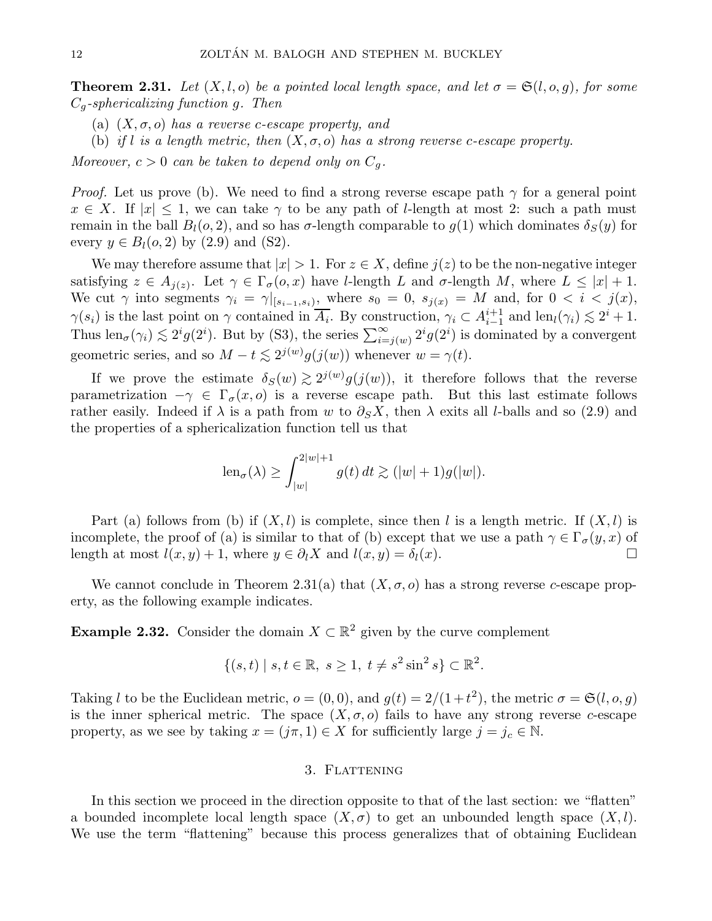**Theorem 2.31.** Let  $(X, l, o)$  be a pointed local length space, and let  $\sigma = \mathfrak{S}(l, o, g)$ , for some  $C_q$ -sphericalizing function g. Then

- (a)  $(X, \sigma, o)$  has a reverse c-escape property, and
- (b) if l is a length metric, then  $(X, \sigma, o)$  has a strong reverse c-escape property.

Moreover,  $c > 0$  can be taken to depend only on  $C_a$ .

*Proof.* Let us prove (b). We need to find a strong reverse escape path  $\gamma$  for a general point  $x \in X$ . If  $|x| \leq 1$ , we can take  $\gamma$  to be any path of *l*-length at most 2: such a path must remain in the ball  $B_l(\sigma, 2)$ , and so has  $\sigma$ -length comparable to  $g(1)$  which dominates  $\delta_S(y)$  for every  $y \in B_l(o, 2)$  by  $(2.9)$  and  $(S2)$ .

We may therefore assume that  $|x| > 1$ . For  $z \in X$ , define  $j(z)$  to be the non-negative integer satisfying  $z \in A_{j(z)}$ . Let  $\gamma \in \Gamma_{\sigma}(o, x)$  have *l*-length *L* and  $\sigma$ -length *M*, where  $L \leq |x| + 1$ . We cut  $\gamma$  into segments  $\gamma_i = \gamma|_{[s_{i-1}, s_i]}$ , where  $s_0 = 0$ ,  $s_{j(x)} = M$  and, for  $0 < i < j(x)$ ,  $\gamma(s_i)$  is the last point on  $\gamma$  contained in  $\overline{A_i}$ . By construction,  $\gamma_i \subset A_{i-1}^{i+1}$  $i-1 \atop i-1$  and  $\text{len}_l(\gamma_i) \lesssim 2^i + 1$ . Thus  $\text{len}_{\sigma}(\gamma_i) \lesssim 2^i g(2^i)$ . But by (S3), the series  $\sum_{i=j(w)}^{\infty} 2^i g(2^i)$  is dominated by a convergent geometric series, and so  $M - t \lesssim 2^{j(w)} g(j(w))$  whenever  $w = \gamma(t)$ .

If we prove the estimate  $\delta_S(w) \gtrsim 2^{j(w)} g(j(w))$ , it therefore follows that the reverse parametrization  $-\gamma \in \Gamma_{\sigma}(x, o)$  is a reverse escape path. But this last estimate follows rather easily. Indeed if  $\lambda$  is a path from w to  $\partial_S X$ , then  $\lambda$  exits all l-balls and so (2.9) and the properties of a sphericalization function tell us that

$$
\operatorname{len}_{\sigma}(\lambda) \ge \int_{|w|}^{2|w|+1} g(t) dt \gtrsim (|w|+1)g(|w|).
$$

Part (a) follows from (b) if  $(X, l)$  is complete, since then l is a length metric. If  $(X, l)$  is incomplete, the proof of (a) is similar to that of (b) except that we use a path  $\gamma \in \Gamma_{\sigma}(y, x)$  of length at most  $l(x, y) + 1$ , where  $y \in \partial_l X$  and  $l(x, y) = \delta_l(x)$ .

We cannot conclude in Theorem 2.31(a) that  $(X, \sigma, o)$  has a strong reverse c-escape property, as the following example indicates.

**Example 2.32.** Consider the domain  $X \subset \mathbb{R}^2$  given by the curve complement

$$
\{(s,t) \mid s,t \in \mathbb{R}, \ s \ge 1, \ t \ne s^2 \sin^2 s\} \subset \mathbb{R}^2.
$$

Taking l to be the Euclidean metric,  $o = (0,0)$ , and  $g(t) = 2/(1+t^2)$ , the metric  $\sigma = \mathfrak{S}(l, o, g)$ is the inner spherical metric. The space  $(X, \sigma, o)$  fails to have any strong reverse c-escape property, as we see by taking  $x = (j\pi, 1) \in X$  for sufficiently large  $j = j_c \in \mathbb{N}$ .

## 3. FLATTENING

In this section we proceed in the direction opposite to that of the last section: we "flatten" a bounded incomplete local length space  $(X, \sigma)$  to get an unbounded length space  $(X, l)$ . We use the term "flattening" because this process generalizes that of obtaining Euclidean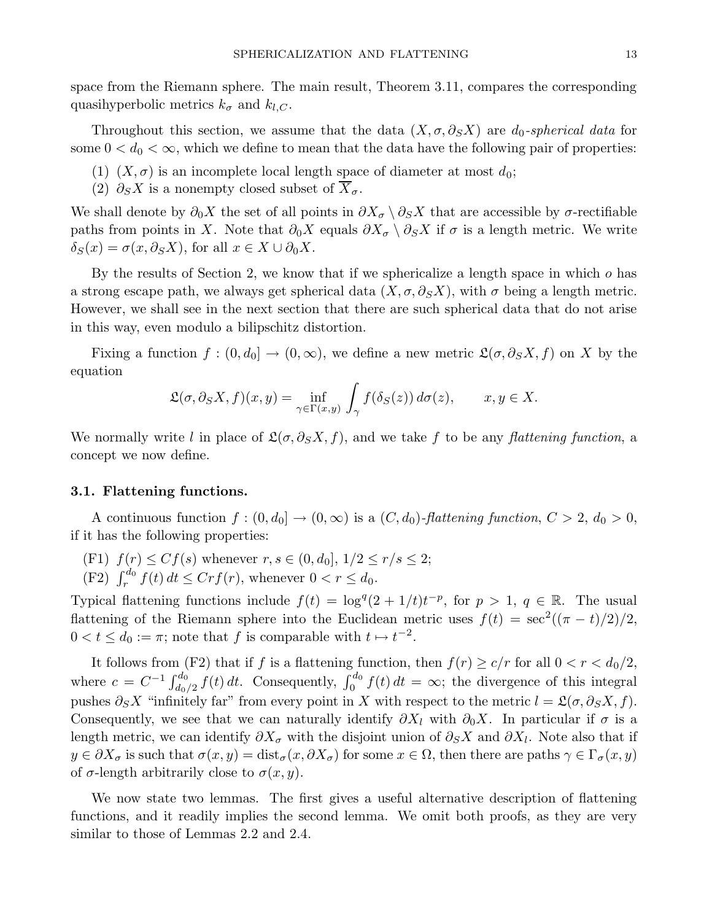space from the Riemann sphere. The main result, Theorem 3.11, compares the corresponding quasihyperbolic metrics  $k_{\sigma}$  and  $k_{l,C}$ .

Throughout this section, we assume that the data  $(X, \sigma, \partial_S X)$  are  $d_0$ -spherical data for some  $0 < d_0 < \infty$ , which we define to mean that the data have the following pair of properties:

- (1)  $(X, \sigma)$  is an incomplete local length space of diameter at most  $d_0$ ;
- (2)  $\partial_S X$  is a nonempty closed subset of  $X_{\sigma}$ .

We shall denote by  $\partial_0 X$  the set of all points in  $\partial X_{\sigma} \setminus \partial_S X$  that are accessible by  $\sigma$ -rectifiable paths from points in X. Note that  $\partial_0 X$  equals  $\partial X_{\sigma} \setminus \partial_S X$  if  $\sigma$  is a length metric. We write  $\delta_S(x) = \sigma(x, \partial_S X)$ , for all  $x \in X \cup \partial_0 X$ .

By the results of Section 2, we know that if we sphericalize a length space in which  $o$  has a strong escape path, we always get spherical data  $(X, \sigma, \partial_S X)$ , with  $\sigma$  being a length metric. However, we shall see in the next section that there are such spherical data that do not arise in this way, even modulo a bilipschitz distortion.

Fixing a function  $f : (0, d_0] \to (0, \infty)$ , we define a new metric  $\mathfrak{L}(\sigma, \partial_S X, f)$  on X by the equation

$$
\mathfrak{L}(\sigma,\partial_S X,f)(x,y) = \inf_{\gamma \in \Gamma(x,y)} \int_{\gamma} f(\delta_S(z)) d\sigma(z), \qquad x, y \in X.
$$

We normally write l in place of  $\mathfrak{L}(\sigma, \partial_S X, f)$ , and we take f to be any flattening function, a concept we now define.

## 3.1. Flattening functions.

A continuous function  $f:(0,d_0] \to (0,\infty)$  is a  $(C,d_0)$ -flattening function,  $C > 2$ ,  $d_0 > 0$ , if it has the following properties:

- (F1)  $f(r) \leq Cf(s)$  whenever  $r, s \in (0, d_0], 1/2 \leq r/s \leq 2;$
- (F2)  $\int_r^{d_0} f(t) dt \leq Crf(r)$ , whenever  $0 < r \leq d_0$ .

Typical flattening functions include  $f(t) = \log^{q}(2 + 1/t)t^{-p}$ , for  $p > 1$ ,  $q \in \mathbb{R}$ . The usual flattening of the Riemann sphere into the Euclidean metric uses  $f(t) = \sec^2((\pi - t)/2)/2$ ,  $0 < t \leq d_0 := \pi$ ; note that f is comparable with  $t \mapsto t^{-2}$ .

It follows from (F2) that if f is a flattening function, then  $f(r) \geq c/r$  for all  $0 < r < d_0/2$ , where  $c = C^{-1} \int_{d_0/2}^{d_0} f(t) dt$ . Consequently,  $\int_0^{d_0} f(t) dt = \infty$ ; the divergence of this integral pushes  $\partial_S X$  "infinitely far" from every point in X with respect to the metric  $l = \mathfrak{L}(\sigma, \partial_S X, f)$ . Consequently, we see that we can naturally identify  $\partial X_l$  with  $\partial_0 X$ . In particular if  $\sigma$  is a length metric, we can identify  $\partial X_{\sigma}$  with the disjoint union of  $\partial_S X$  and  $\partial X_l$ . Note also that if  $y \in \partial X_{\sigma}$  is such that  $\sigma(x, y) = \text{dist}_{\sigma}(x, \partial X_{\sigma})$  for some  $x \in \Omega$ , then there are paths  $\gamma \in \Gamma_{\sigma}(x, y)$ of  $\sigma$ -length arbitrarily close to  $\sigma(x, y)$ .

We now state two lemmas. The first gives a useful alternative description of flattening functions, and it readily implies the second lemma. We omit both proofs, as they are very similar to those of Lemmas 2.2 and 2.4.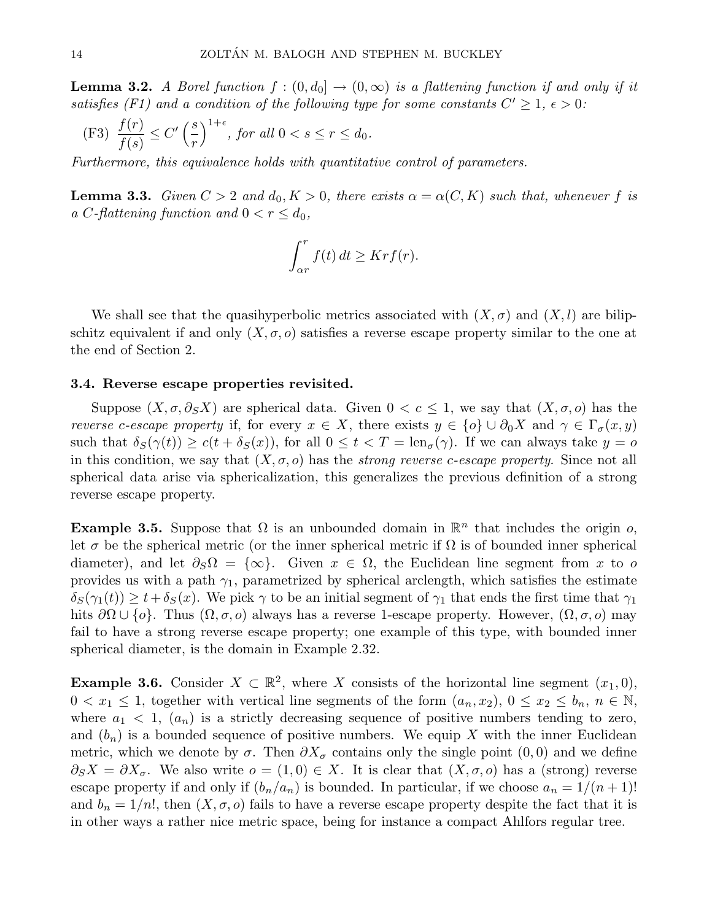**Lemma 3.2.** A Borel function  $f:(0,d_0] \to (0,\infty)$  is a flattening function if and only if it satisfies (F1) and a condition of the following type for some constants  $C' \geq 1$ ,  $\epsilon > 0$ :

(F3) 
$$
\frac{f(r)}{f(s)} \le C' \left(\frac{s}{r}\right)^{1+\epsilon}
$$
, for all  $0 < s \le r \le d_0$ .

Furthermore, this equivalence holds with quantitative control of parameters.

**Lemma 3.3.** Given  $C > 2$  and  $d_0, K > 0$ , there exists  $\alpha = \alpha(C, K)$  such that, whenever f is a C-flattening function and  $0 < r \leq d_0$ ,

$$
\int_{\alpha r}^{r} f(t) dt \geq K r f(r).
$$

We shall see that the quasihyperbolic metrics associated with  $(X, \sigma)$  and  $(X, l)$  are bilipschitz equivalent if and only  $(X, \sigma, o)$  satisfies a reverse escape property similar to the one at the end of Section 2.

## 3.4. Reverse escape properties revisited.

Suppose  $(X, \sigma, \partial_S X)$  are spherical data. Given  $0 < c \leq 1$ , we say that  $(X, \sigma, o)$  has the reverse c-escape property if, for every  $x \in X$ , there exists  $y \in \{o\} \cup \partial_0 X$  and  $\gamma \in \Gamma_{\sigma}(x, y)$ such that  $\delta_S(\gamma(t)) \ge c(t + \delta_S(x))$ , for all  $0 \le t < T = \text{len}_{\sigma}(\gamma)$ . If we can always take  $y = o$ in this condition, we say that  $(X, \sigma, o)$  has the *strong reverse c-escape property*. Since not all spherical data arise via sphericalization, this generalizes the previous definition of a strong reverse escape property.

**Example 3.5.** Suppose that  $\Omega$  is an unbounded domain in  $\mathbb{R}^n$  that includes the origin o, let  $\sigma$  be the spherical metric (or the inner spherical metric if  $\Omega$  is of bounded inner spherical diameter), and let  $\partial_S \Omega = \{\infty\}$ . Given  $x \in \Omega$ , the Euclidean line segment from x to o provides us with a path  $\gamma_1$ , parametrized by spherical arclength, which satisfies the estimate  $\delta_S(\gamma_1(t)) \geq t + \delta_S(x)$ . We pick  $\gamma$  to be an initial segment of  $\gamma_1$  that ends the first time that  $\gamma_1$ hits  $\partial\Omega \cup \{o\}$ . Thus  $(\Omega, \sigma, o)$  always has a reverse 1-escape property. However,  $(\Omega, \sigma, o)$  may fail to have a strong reverse escape property; one example of this type, with bounded inner spherical diameter, is the domain in Example 2.32.

**Example 3.6.** Consider  $X \subset \mathbb{R}^2$ , where X consists of the horizontal line segment  $(x_1, 0)$ ,  $0 < x_1 \leq 1$ , together with vertical line segments of the form  $(a_n, x_2)$ ,  $0 \leq x_2 \leq b_n$ ,  $n \in \mathbb{N}$ , where  $a_1 < 1$ ,  $(a_n)$  is a strictly decreasing sequence of positive numbers tending to zero, and  $(b_n)$  is a bounded sequence of positive numbers. We equip X with the inner Euclidean metric, which we denote by  $\sigma$ . Then  $\partial X_{\sigma}$  contains only the single point  $(0,0)$  and we define  $\partial_S X = \partial X_{\sigma}$ . We also write  $o = (1,0) \in X$ . It is clear that  $(X, \sigma, o)$  has a (strong) reverse escape property if and only if  $(b_n/a_n)$  is bounded. In particular, if we choose  $a_n = 1/(n+1)!$ and  $b_n = 1/n!$ , then  $(X, \sigma, o)$  fails to have a reverse escape property despite the fact that it is in other ways a rather nice metric space, being for instance a compact Ahlfors regular tree.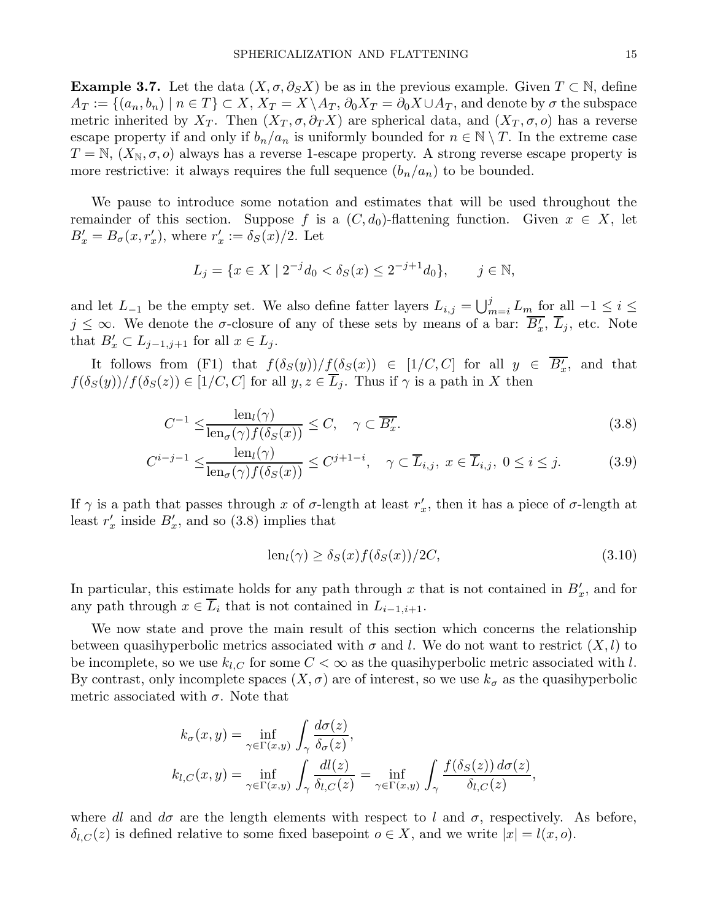**Example 3.7.** Let the data  $(X, \sigma, \partial_S X)$  be as in the previous example. Given  $T \subset \mathbb{N}$ , define  $A_T := \{(a_n, b_n) \mid n \in T\} \subset X$ ,  $X_T = X \setminus A_T$ ,  $\partial_0 X_T = \partial_0 X \cup A_T$ , and denote by  $\sigma$  the subspace metric inherited by  $X_T$ . Then  $(X_T, \sigma, \partial_T X)$  are spherical data, and  $(X_T, \sigma, o)$  has a reverse escape property if and only if  $b_n/a_n$  is uniformly bounded for  $n \in \mathbb{N} \setminus T$ . In the extreme case  $T = \mathbb{N}, (X_{\mathbb{N}}, \sigma, o)$  always has a reverse 1-escape property. A strong reverse escape property is more restrictive: it always requires the full sequence  $(b_n/a_n)$  to be bounded.

We pause to introduce some notation and estimates that will be used throughout the remainder of this section. Suppose f is a  $(C, d_0)$ -flattening function. Given  $x \in X$ , let  $B'_x = B_\sigma(x, r'_x)$ , where  $r'_x := \delta_S(x)/2$ . Let

$$
L_j = \{ x \in X \mid 2^{-j}d_0 < \delta_S(x) \le 2^{-j+1}d_0 \}, \qquad j \in \mathbb{N},
$$

and let  $L_{-1}$  be the empty set. We also define fatter layers  $L_{i,j} = \bigcup_{m=i}^{j} L_m$  for all  $-1 \leq i \leq$  $j \leq \infty$ . We denote the  $\sigma$ -closure of any of these sets by means of a bar:  $\overline{B'_x}$ ,  $\overline{L}_j$ , etc. Note that  $B'_x \subset L_{j-1,j+1}$  for all  $x \in L_j$ .

It follows from (F1) that  $f(\delta_S(y))/f(\delta_S(x)) \in [1/C, C]$  for all  $y \in \overline{B'_x}$ , and that  $f(\delta_S(y))/f(\delta_S(z)) \in [1/C, C]$  for all  $y, z \in \overline{L}_i$ . Thus if  $\gamma$  is a path in X then

$$
C^{-1} \leq \frac{\operatorname{len}_{l}(\gamma)}{\operatorname{len}_{\sigma}(\gamma) f(\delta_{S}(x))} \leq C, \quad \gamma \subset \overline{B'_{x}}.\tag{3.8}
$$

$$
C^{i-j-1} \le \frac{\operatorname{len}_l(\gamma)}{\operatorname{len}_\sigma(\gamma)f(\delta_S(x))} \le C^{j+1-i}, \quad \gamma \subset \overline{L}_{i,j}, \ x \in \overline{L}_{i,j}, \ 0 \le i \le j. \tag{3.9}
$$

If  $\gamma$  is a path that passes through x of  $\sigma$ -length at least  $r'_x$ , then it has a piece of  $\sigma$ -length at least  $r'_x$  inside  $B'_x$ , and so (3.8) implies that

$$
len_l(\gamma) \ge \delta_S(x) f(\delta_S(x)) / 2C,
$$
\n(3.10)

In particular, this estimate holds for any path through x that is not contained in  $B'_x$ , and for any path through  $x \in \overline{L}_i$  that is not contained in  $L_{i-1,i+1}$ .

We now state and prove the main result of this section which concerns the relationship between quasihyperbolic metrics associated with  $\sigma$  and l. We do not want to restrict  $(X, l)$  to be incomplete, so we use  $k_{l,C}$  for some  $C < \infty$  as the quasihyperbolic metric associated with l. By contrast, only incomplete spaces  $(X, \sigma)$  are of interest, so we use  $k_{\sigma}$  as the quasihyperbolic metric associated with  $\sigma$ . Note that

$$
k_{\sigma}(x, y) = \inf_{\gamma \in \Gamma(x, y)} \int_{\gamma} \frac{d\sigma(z)}{\delta_{\sigma}(z)},
$$
  
\n
$$
k_{l,C}(x, y) = \inf_{\gamma \in \Gamma(x, y)} \int_{\gamma} \frac{d l(z)}{\delta_{l,C}(z)} = \inf_{\gamma \in \Gamma(x, y)} \int_{\gamma} \frac{f(\delta_S(z)) d\sigma(z)}{\delta_{l,C}(z)},
$$

where dl and  $d\sigma$  are the length elements with respect to l and  $\sigma$ , respectively. As before,  $\delta_{l,C}(z)$  is defined relative to some fixed basepoint  $o \in X$ , and we write  $|x| = l(x, o)$ .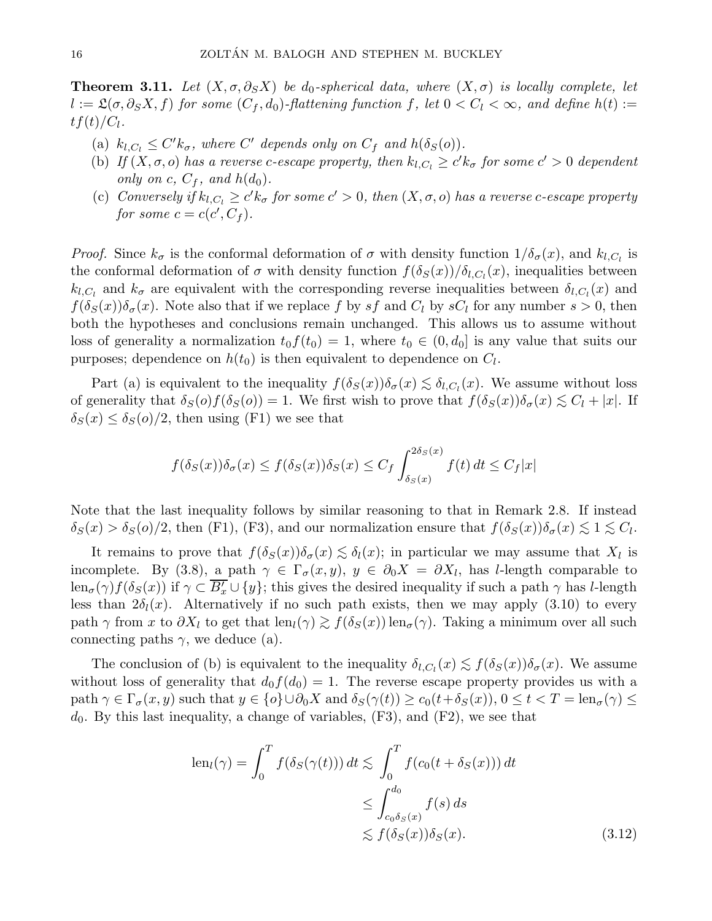**Theorem 3.11.** Let  $(X, \sigma, \partial_S X)$  be d<sub>0</sub>-spherical data, where  $(X, \sigma)$  is locally complete, let  $l := \mathfrak{L}(\sigma, \partial_S X, f)$  for some  $(C_f, d_0)$ -flattening function f, let  $0 < C_l < \infty$ , and define  $h(t) :=$  $tf(t)/C_l$ .

- (a)  $k_{l,C_l} \leq C' k_{\sigma}$ , where C' depends only on  $C_f$  and  $h(\delta_S(o))$ .
- (b) If  $(X, \sigma, o)$  has a reverse c-escape property, then  $k_{l,C_l} \geq c' k_{\sigma}$  for some  $c' > 0$  dependent only on c,  $C_f$ , and  $h(d_0)$ .
- (c) Conversely if  $k_{l,C_l} \geq c' k_{\sigma}$  for some  $c' > 0$ , then  $(X, \sigma, o)$  has a reverse c-escape property for some  $c = c(c', C_f)$ .

*Proof.* Since  $k_{\sigma}$  is the conformal deformation of  $\sigma$  with density function  $1/\delta_{\sigma}(x)$ , and  $k_{l,C_l}$  is the conformal deformation of  $\sigma$  with density function  $f(\delta_S(x))/\delta_{l,C_l}(x)$ , inequalities between  $k_{l,C_l}$  and  $k_{\sigma}$  are equivalent with the corresponding reverse inequalities between  $\delta_{l,C_l}(x)$  and  $f(\delta_S(x))\delta_{\sigma}(x)$ . Note also that if we replace f by sf and  $C_l$  by s $C_l$  for any number  $s > 0$ , then both the hypotheses and conclusions remain unchanged. This allows us to assume without loss of generality a normalization  $t_0f(t_0) = 1$ , where  $t_0 \in (0, d_0]$  is any value that suits our purposes; dependence on  $h(t_0)$  is then equivalent to dependence on  $C_l$ .

Part (a) is equivalent to the inequality  $f(\delta_S(x))\delta_\sigma(x) \lesssim \delta_{l,C_l}(x)$ . We assume without loss of generality that  $\delta_S(o)f(\delta_S(o)) = 1$ . We first wish to prove that  $f(\delta_S(x))\delta_\sigma(x) \lesssim C_l + |x|$ . If  $\delta_S(x) \leq \delta_S(\rho)/2$ , then using (F1) we see that

$$
f(\delta_S(x))\delta_\sigma(x) \le f(\delta_S(x))\delta_S(x) \le C_f \int_{\delta_S(x)}^{2\delta_S(x)} f(t) dt \le C_f |x|
$$

Note that the last inequality follows by similar reasoning to that in Remark 2.8. If instead  $\delta_S(x) > \delta_S(o)/2$ , then (F1), (F3), and our normalization ensure that  $f(\delta_S(x))\delta_\sigma(x) \lesssim 1 \lesssim C_l$ .

It remains to prove that  $f(\delta_S(x))\delta_{\sigma}(x) \lesssim \delta_l(x)$ ; in particular we may assume that  $X_l$  is incomplete. By (3.8), a path  $\gamma \in \Gamma_{\sigma}(x, y), y \in \partial_0 X = \partial X_l$ , has *l*-length comparable to  $\text{len}_{\sigma}(\gamma) f(\delta_S(x))$  if  $\gamma \subset \overline{B'_x} \cup \{y\}$ ; this gives the desired inequality if such a path  $\gamma$  has *l*-length less than  $2\delta_l(x)$ . Alternatively if no such path exists, then we may apply (3.10) to every path  $\gamma$  from x to  $\partial X_l$  to get that len $_l(\gamma) \gtrsim f(\delta_S(x))$ len<sub> $\sigma$ </sub>( $\gamma$ ). Taking a minimum over all such connecting paths  $\gamma$ , we deduce (a).

The conclusion of (b) is equivalent to the inequality  $\delta_{l,C_l}(x) \lesssim f(\delta_S(x))\delta_\sigma(x)$ . We assume without loss of generality that  $d_0 f(d_0) = 1$ . The reverse escape property provides us with a path  $\gamma \in \Gamma_{\sigma}(x, y)$  such that  $y \in {\rho} \cup \partial_0 X$  and  $\delta_S(\gamma(t)) \ge c_0(t + \delta_S(x))$ ,  $0 \le t < T = \text{len}_{\sigma}(\gamma) \le$  $d_0$ . By this last inequality, a change of variables,  $(F3)$ , and  $(F2)$ , we see that

$$
\begin{aligned} \text{len}_{l}(\gamma) &= \int_{0}^{T} f(\delta_{S}(\gamma(t))) \, dt \lesssim \int_{0}^{T} f(c_{0}(t + \delta_{S}(x))) \, dt \\ &\leq \int_{c_{0}\delta_{S}(x)}^{d_{0}} f(s) \, ds \\ &\lesssim f(\delta_{S}(x))\delta_{S}(x). \end{aligned} \tag{3.12}
$$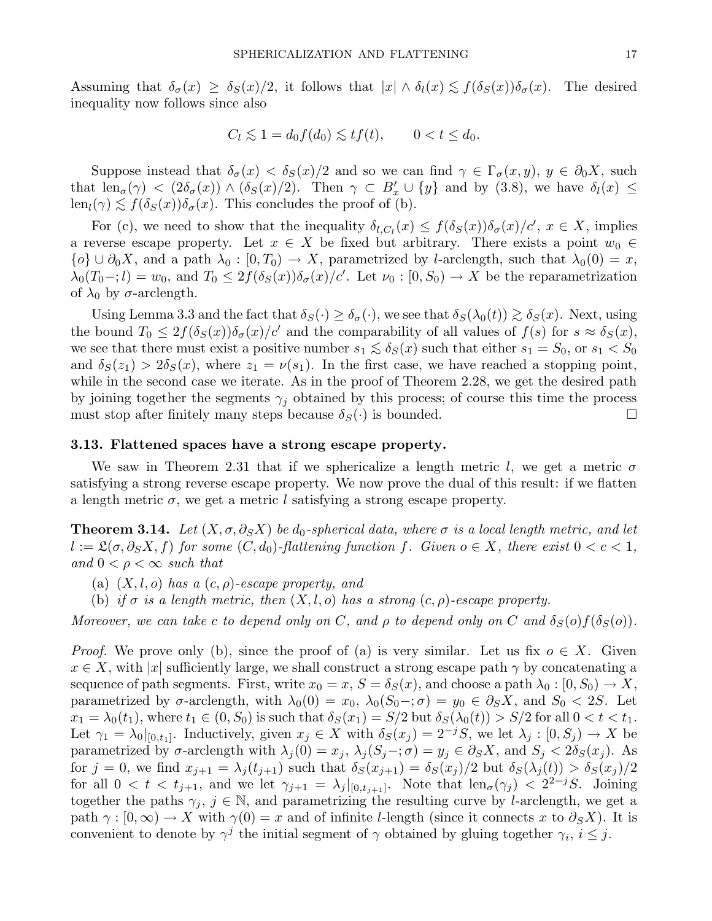Assuming that  $\delta_{\sigma}(x) \geq \delta_{S}(x)/2$ , it follows that  $|x| \wedge \delta_{l}(x) \lesssim f(\delta_{S}(x))\delta_{\sigma}(x)$ . The desired inequality now follows since also

$$
C_l \lesssim 1 = d_0 f(d_0) \lesssim t f(t), \qquad 0 < t \leq d_0.
$$

Suppose instead that  $\delta_{\sigma}(x) < \delta_{S}(x)/2$  and so we can find  $\gamma \in \Gamma_{\sigma}(x, y), y \in \partial_{0}X$ , such that  $\text{len}_{\sigma}(\gamma) < (2\delta_{\sigma}(x)) \wedge (\delta_{S}(x)/2)$ . Then  $\gamma \subset B'_x \cup \{y\}$  and by (3.8), we have  $\delta_l(x) \leq$  $\text{len}_{l}(\gamma) \lesssim f(\delta_{S}(x))\delta_{\sigma}(x)$ . This concludes the proof of (b).

For (c), we need to show that the inequality  $\delta_{l,C_l}(x) \leq f(\delta_S(x))\delta_{\sigma}(x)/c'$ ,  $x \in X$ , implies a reverse escape property. Let  $x \in X$  be fixed but arbitrary. There exists a point  $w_0 \in$  $\{o\} \cup \partial_0 X$ , and a path  $\lambda_0 : [0, T_0] \to X$ , parametrized by *l*-arclength, such that  $\lambda_0(0) = x$ ,  $\lambda_0(T_0 -; l) = w_0$ , and  $T_0 \leq 2f(\delta_S(x))\delta_{\sigma}(x)/c'$ . Let  $\nu_0 : [0, S_0) \to X$  be the reparametrization of  $\lambda_0$  by  $\sigma$ -arclength.

Using Lemma 3.3 and the fact that  $\delta_S(\cdot) \geq \delta_\sigma(\cdot)$ , we see that  $\delta_S(\lambda_0(t)) \gtrsim \delta_S(x)$ . Next, using the bound  $T_0 \leq 2f(\delta_S(x))\delta_{\sigma}(x)/c'$  and the comparability of all values of  $f(s)$  for  $s \approx \delta_S(x)$ , we see that there must exist a positive number  $s_1 \lesssim \delta_S(x)$  such that either  $s_1 = S_0$ , or  $s_1 < S_0$ and  $\delta_S(z_1) > 2\delta_S(x)$ , where  $z_1 = \nu(s_1)$ . In the first case, we have reached a stopping point, while in the second case we iterate. As in the proof of Theorem 2.28, we get the desired path by joining together the segments  $\gamma_i$  obtained by this process; of course this time the process must stop after finitely many steps because  $\delta_S(\cdot)$  is bounded.

#### 3.13. Flattened spaces have a strong escape property.

We saw in Theorem 2.31 that if we sphericalize a length metric l, we get a metric  $\sigma$ satisfying a strong reverse escape property. We now prove the dual of this result: if we flatten a length metric  $\sigma$ , we get a metric l satisfying a strong escape property.

**Theorem 3.14.** Let  $(X, \sigma, \partial_S X)$  be  $d_0$ -spherical data, where  $\sigma$  is a local length metric, and let  $l := \mathfrak{L}(\sigma, \partial_S X, f)$  for some  $(C, d_0)$ -flattening function f. Given  $o \in X$ , there exist  $0 < c < 1$ , and  $0 < \rho < \infty$  such that

- (a)  $(X, l, o)$  has a  $(c, \rho)$ -escape property, and
- (b) if  $\sigma$  is a length metric, then  $(X, l, o)$  has a strong  $(c, \rho)$ -escape property.

Moreover, we can take c to depend only on C, and  $\rho$  to depend only on C and  $\delta_S(\rho) f(\delta_S(\rho))$ .

*Proof.* We prove only (b), since the proof of (a) is very similar. Let us fix  $o \in X$ . Given  $x \in X$ , with |x| sufficiently large, we shall construct a strong escape path  $\gamma$  by concatenating a sequence of path segments. First, write  $x_0 = x$ ,  $S = \delta_S(x)$ , and choose a path  $\lambda_0 : [0, S_0) \to X$ , parametrized by  $\sigma$ -arclength, with  $\lambda_0(0) = x_0$ ,  $\lambda_0(S_0 -; \sigma) = y_0 \in \partial_S X$ , and  $S_0 < 2S$ . Let  $x_1 = \lambda_0(t_1)$ , where  $t_1 \in (0, S_0)$  is such that  $\delta_S(x_1) = S/2$  but  $\delta_S(\lambda_0(t)) > S/2$  for all  $0 < t < t_1$ . Let  $\gamma_1 = \lambda_0|_{[0,t_1]}$ . Inductively, given  $x_j \in X$  with  $\delta_S(x_j) = 2^{-j}S$ , we let  $\lambda_j : [0, S_j) \to X$  be parametrized by  $\sigma$ -arclength with  $\lambda_j(0) = x_j$ ,  $\lambda_j(S_j -; \sigma) = y_j \in \partial_S X$ , and  $S_j < 2\delta_S(x_j)$ . As for  $j = 0$ , we find  $x_{j+1} = \lambda_j(t_{j+1})$  such that  $\delta_S(x_{j+1}) = \delta_S(x_j)/2$  but  $\delta_S(\lambda_j(t)) > \delta_S(x_j)/2$ for all  $0 < t < t_{j+1}$ , and we let  $\gamma_{j+1} = \lambda_j |_{[0,t_{j+1}]}$ . Note that  $\text{len}_{\sigma}(\gamma_j) < 2^{2-j}S$ . Joining together the paths  $\gamma_i$ ,  $j \in \mathbb{N}$ , and parametrizing the resulting curve by *l*-arclength, we get a path  $\gamma : [0, \infty) \to X$  with  $\gamma(0) = x$  and of infinite l-length (since it connects x to  $\partial_S X$ ). It is convenient to denote by  $\gamma^j$  the initial segment of  $\gamma$  obtained by gluing together  $\gamma_i$ ,  $i \leq j$ .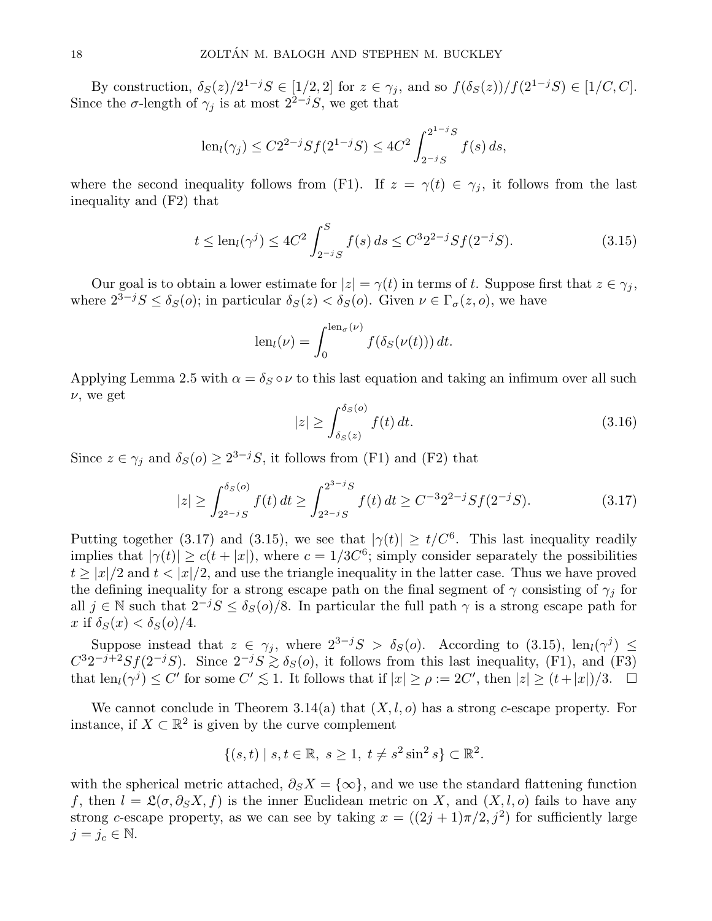By construction,  $\delta_S(z)/2^{1-j}S \in [1/2,2]$  for  $z \in \gamma_j$ , and so  $f(\delta_S(z))/f(2^{1-j}S) \in [1/C, C]$ . Since the  $\sigma$ -length of  $\gamma_j$  is at most  $2^{2-j}S$ , we get that

$$
len_l(\gamma_j) \le C2^{2-j}Sf(2^{1-j}S) \le 4C^2 \int_{2^{-j}S}^{2^{1-j}S} f(s) ds,
$$

where the second inequality follows from (F1). If  $z = \gamma(t) \in \gamma_j$ , it follows from the last inequality and (F2) that

$$
t \le \text{len}_{l}(\gamma^{j}) \le 4C^{2} \int_{2^{-j}S}^{S} f(s) ds \le C^{3} 2^{2-j} S f(2^{-j}S). \tag{3.15}
$$

Our goal is to obtain a lower estimate for  $|z| = \gamma(t)$  in terms of t. Suppose first that  $z \in \gamma_i$ , where  $2^{3-j}S \le \delta_S(o)$ ; in particular  $\delta_S(z) < \delta_S(o)$ . Given  $\nu \in \Gamma_{\sigma}(z, o)$ , we have

$$
len_l(\nu) = \int_0^{len_{\sigma}(\nu)} f(\delta_S(\nu(t))) dt.
$$

Applying Lemma 2.5 with  $\alpha = \delta_S \circ \nu$  to this last equation and taking an infimum over all such  $\nu$ , we get

$$
|z| \ge \int_{\delta_S(z)}^{\delta_S(o)} f(t) dt.
$$
\n(3.16)

Since  $z \in \gamma_j$  and  $\delta_S(o) \geq 2^{3-j}S$ , it follows from (F1) and (F2) that

$$
|z| \ge \int_{2^{2-j}S}^{\delta_S(o)} f(t) dt \ge \int_{2^{2-j}S}^{2^{3-j}S} f(t) dt \ge C^{-3}2^{2-j}Sf(2^{-j}S). \tag{3.17}
$$

Putting together (3.17) and (3.15), we see that  $|\gamma(t)| \ge t/C^6$ . This last inequality readily implies that  $|\gamma(t)| \ge c(t+|x|)$ , where  $c = 1/3C^6$ ; simply consider separately the possibilities  $t \geq |x|/2$  and  $t < |x|/2$ , and use the triangle inequality in the latter case. Thus we have proved the defining inequality for a strong escape path on the final segment of  $\gamma$  consisting of  $\gamma_i$  for all  $j \in \mathbb{N}$  such that  $2^{-j}S \leq \delta_S(o)/8$ . In particular the full path  $\gamma$  is a strong escape path for x if  $\delta_S(x) < \delta_S(o)/4$ .

Suppose instead that  $z \in \gamma_j$ , where  $2^{3-j}S > \delta_S(o)$ . According to (3.15), len<sub>l</sub>( $\gamma^j$ )  $\leq$  $C^32^{-j+2}Sf(2^{-j}S)$ . Since  $2^{-j}S \gtrsim \delta_S(o)$ , it follows from this last inequality, (F1), and (F3) that  $\text{len}_l(\gamma^j) \leq C'$  for some  $C' \lesssim 1$ . It follows that if  $|x| \geq \rho := 2C'$ , then  $|z| \geq (t+|x|)/3$ .  $\Box$ 

We cannot conclude in Theorem 3.14(a) that  $(X, l, o)$  has a strong c-escape property. For instance, if  $X \subset \mathbb{R}^2$  is given by the curve complement

$$
\{(s,t) \mid s,t \in \mathbb{R}, \ s \ge 1, \ t \ne s^2 \sin^2 s\} \subset \mathbb{R}^2.
$$

with the spherical metric attached,  $\partial_S X = \{\infty\}$ , and we use the standard flattening function f, then  $l = \mathfrak{L}(\sigma, \partial_S X, f)$  is the inner Euclidean metric on X, and  $(X, l, o)$  fails to have any strong c-escape property, as we can see by taking  $x = ((2j + 1)\pi/2, j^2)$  for sufficiently large  $j = j_c \in \mathbb{N}$ .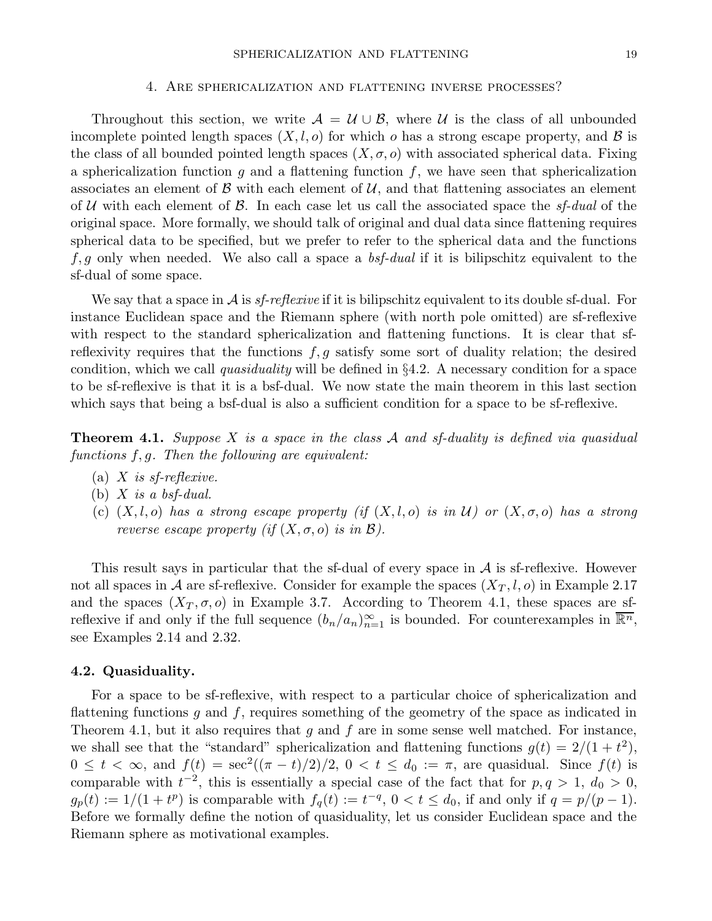#### 4. Are sphericalization and flattening inverse processes?

Throughout this section, we write  $A = U \cup B$ , where U is the class of all unbounded incomplete pointed length spaces  $(X, l, o)$  for which o has a strong escape property, and  $\beta$  is the class of all bounded pointed length spaces  $(X, \sigma, o)$  with associated spherical data. Fixing a sphericalization function  $g$  and a flattening function  $f$ , we have seen that sphericalization associates an element of  $\beta$  with each element of  $\mathcal{U}$ , and that flattening associates an element of U with each element of B. In each case let us call the associated space the  $s_f$ -dual of the original space. More formally, we should talk of original and dual data since flattening requires spherical data to be specified, but we prefer to refer to the spherical data and the functions  $f, g$  only when needed. We also call a space a *bsf-dual* if it is bilipschitz equivalent to the sf-dual of some space.

We say that a space in  $A$  is sf-reflexive if it is bilipschitz equivalent to its double sf-dual. For instance Euclidean space and the Riemann sphere (with north pole omitted) are sf-reflexive with respect to the standard sphericalization and flattening functions. It is clear that sfreflexivity requires that the functions  $f, g$  satisfy some sort of duality relation; the desired condition, which we call quasiduality will be defined in  $\S 4.2$ . A necessary condition for a space to be sf-reflexive is that it is a bsf-dual. We now state the main theorem in this last section which says that being a bsf-dual is also a sufficient condition for a space to be sf-reflexive.

**Theorem 4.1.** Suppose X is a space in the class A and sf-duality is defined via quasidual functions  $f, g$ . Then the following are equivalent:

- (a) X is sf-reflexive.
- (b)  $X$  is a bsf-dual.
- (c)  $(X, l, o)$  has a strong escape property (if  $(X, l, o)$  is in U) or  $(X, \sigma, o)$  has a strong reverse escape property (if  $(X, \sigma, o)$  is in  $\mathcal{B}$ ).

This result says in particular that the sf-dual of every space in  $A$  is sf-reflexive. However not all spaces in A are sf-reflexive. Consider for example the spaces  $(X_T, l, o)$  in Example 2.17 and the spaces  $(X_T, \sigma, o)$  in Example 3.7. According to Theorem 4.1, these spaces are sfreflexive if and only if the full sequence  $(b_n/a_n)_{n=1}^{\infty}$  is bounded. For counterexamples in  $\overline{\mathbb{R}^n}$ , see Examples 2.14 and 2.32.

## 4.2. Quasiduality.

For a space to be sf-reflexive, with respect to a particular choice of sphericalization and flattening functions  $g$  and  $f$ , requires something of the geometry of the space as indicated in Theorem 4.1, but it also requires that g and f are in some sense well matched. For instance, we shall see that the "standard" sphericalization and flattening functions  $g(t) = 2/(1 + t^2)$ ,  $0 \leq t < \infty$ , and  $f(t) = \sec^2((\pi - t)/2)/2$ ,  $0 < t \leq d_0 := \pi$ , are quasidual. Since  $f(t)$  is comparable with  $t^{-2}$ , this is essentially a special case of the fact that for  $p, q > 1, d_0 > 0$ ,  $g_p(t) := 1/(1+t^p)$  is comparable with  $f_q(t) := t^{-q}$ ,  $0 < t \leq d_0$ , if and only if  $q = p/(p-1)$ . Before we formally define the notion of quasiduality, let us consider Euclidean space and the Riemann sphere as motivational examples.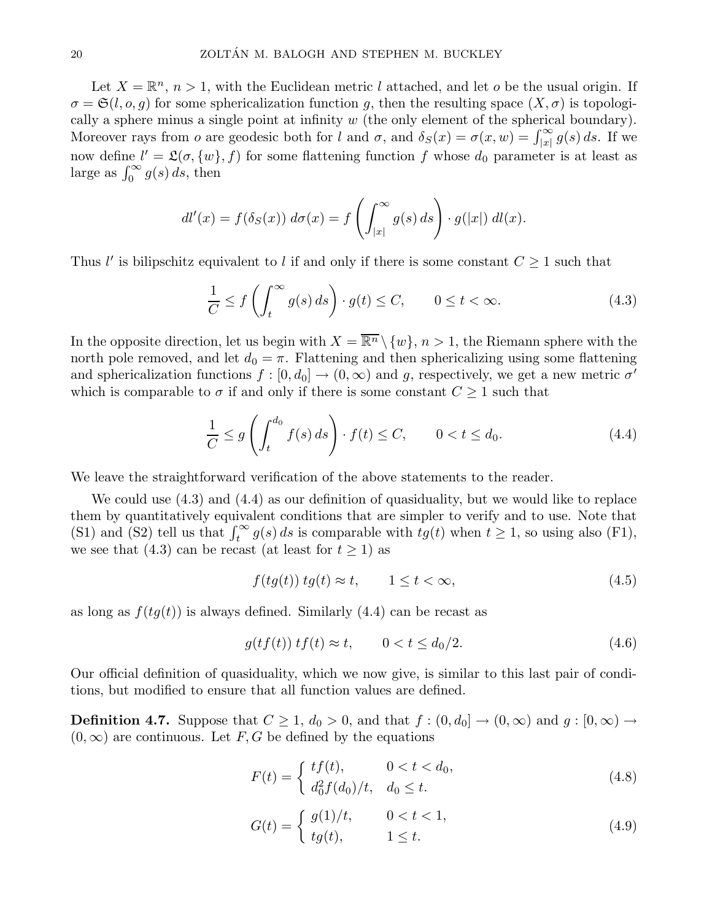Let  $X = \mathbb{R}^n$ ,  $n > 1$ , with the Euclidean metric l attached, and let o be the usual origin. If  $\sigma = \mathfrak{S}(l, o, g)$  for some sphericalization function g, then the resulting space  $(X, \sigma)$  is topologically a sphere minus a single point at infinity  $w$  (the only element of the spherical boundary). Moreover rays from o are geodesic both for l and  $\sigma$ , and  $\delta_S(x) = \sigma(x, w) = \int_{|x|}^{\infty} g(s) ds$ . If we now define  $l' = \mathfrak{L}(\sigma, \{w\}, f)$  for some flattening function f whose  $d_0$  parameter is at least as large as  $\int_0^\infty g(s) ds$ , then

$$
dl'(x) = f(\delta_S(x)) d\sigma(x) = f\left(\int_{|x|}^{\infty} g(s) ds\right) \cdot g(|x|) dl(x).
$$

Thus l' is bilipschitz equivalent to l if and only if there is some constant  $C \geq 1$  such that

$$
\frac{1}{C} \le f\left(\int_t^\infty g(s) \, ds\right) \cdot g(t) \le C, \qquad 0 \le t < \infty. \tag{4.3}
$$

In the opposite direction, let us begin with  $X = \overline{\mathbb{R}^n} \setminus \{w\}$ ,  $n > 1$ , the Riemann sphere with the north pole removed, and let  $d_0 = \pi$ . Flattening and then sphericalizing using some flattening and sphericalization functions  $f : [0, d_0] \to (0, \infty)$  and g, respectively, we get a new metric  $\sigma'$ which is comparable to  $\sigma$  if and only if there is some constant  $C \geq 1$  such that

$$
\frac{1}{C} \le g\left(\int_t^{d_0} f(s) \, ds\right) \cdot f(t) \le C, \qquad 0 < t \le d_0. \tag{4.4}
$$

We leave the straightforward verification of the above statements to the reader.

We could use (4.3) and (4.4) as our definition of quasiduality, but we would like to replace them by quantitatively equivalent conditions that are simpler to verify and to use. Note that (S1) and (S2) tell us that  $\int_t^{\infty} g(s) ds$  is comparable with  $tg(t)$  when  $t \geq 1$ , so using also (F1), we see that (4.3) can be recast (at least for  $t \ge 1$ ) as

$$
f(tg(t))\,tg(t) \approx t, \qquad 1 \le t < \infty,\tag{4.5}
$$

as long as  $f(tq(t))$  is always defined. Similarly (4.4) can be recast as

$$
g(tf(t)) tf(t) \approx t, \qquad 0 < t \le d_0/2. \tag{4.6}
$$

Our official definition of quasiduality, which we now give, is similar to this last pair of conditions, but modified to ensure that all function values are defined.

**Definition 4.7.** Suppose that  $C \geq 1$ ,  $d_0 > 0$ , and that  $f : (0, d_0] \to (0, \infty)$  and  $g : [0, \infty) \to$  $(0, \infty)$  are continuous. Let F, G be defined by the equations

$$
F(t) = \begin{cases} tf(t), & 0 < t < d_0, \\ d_0^2 f(d_0)/t, & d_0 \le t. \end{cases}
$$
\n(4.8)

$$
G(t) = \begin{cases} g(1)/t, & 0 < t < 1, \\ tg(t), & 1 \le t. \end{cases}
$$
\n(4.9)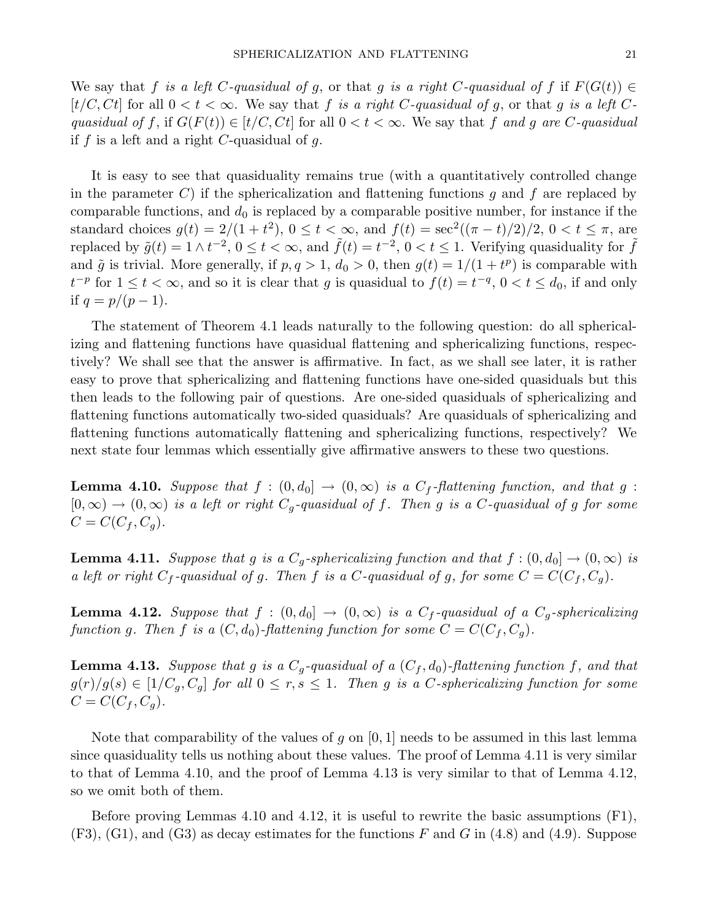We say that f is a left C-quasidual of q, or that q is a right C-quasidual of f if  $F(G(t)) \in$  $[t/C, Ct]$  for all  $0 < t < \infty$ . We say that f is a right C-quasidual of g, or that g is a left Cquasidual of f, if  $G(F(t)) \in [t/C, Ct]$  for all  $0 < t < \infty$ . We say that f and q are C-quasidual if  $f$  is a left and a right  $C$ -quasidual of  $g$ .

It is easy to see that quasiduality remains true (with a quantitatively controlled change in the parameter C) if the sphericalization and flattening functions q and f are replaced by comparable functions, and  $d_0$  is replaced by a comparable positive number, for instance if the standard choices  $g(t) = 2/(1 + t^2)$ ,  $0 \le t < \infty$ , and  $f(t) = \sec^2((\pi - t)/2)/2$ ,  $0 < t \le \pi$ , are replaced by  $\tilde{g}(t) = 1 \wedge t^{-2}$ ,  $0 \le t < \infty$ , and  $\tilde{f}(t) = t^{-2}$ ,  $0 < t \le 1$ . Verifying quasiduality for  $\tilde{f}$ and  $\tilde{g}$  is trivial. More generally, if  $p, q > 1, d_0 > 0$ , then  $g(t) = 1/(1 + t^p)$  is comparable with  $t^{-p}$  for  $1 \leq t < \infty$ , and so it is clear that g is quasidual to  $f(t) = t^{-q}$ ,  $0 < t \leq d_0$ , if and only if  $q = p/(p - 1)$ .

The statement of Theorem 4.1 leads naturally to the following question: do all sphericalizing and flattening functions have quasidual flattening and sphericalizing functions, respectively? We shall see that the answer is affirmative. In fact, as we shall see later, it is rather easy to prove that sphericalizing and flattening functions have one-sided quasiduals but this then leads to the following pair of questions. Are one-sided quasiduals of sphericalizing and flattening functions automatically two-sided quasiduals? Are quasiduals of sphericalizing and flattening functions automatically flattening and sphericalizing functions, respectively? We next state four lemmas which essentially give affirmative answers to these two questions.

**Lemma 4.10.** Suppose that  $f : (0, d_0] \rightarrow (0, \infty)$  is a  $C_f$ -flattening function, and that g :  $[0, \infty) \to (0, \infty)$  is a left or right  $C_q$ -quasidual of f. Then g is a C-quasidual of g for some  $C=C(C_f, C_g).$ 

**Lemma 4.11.** Suppose that g is a  $C_g$ -sphericalizing function and that  $f : (0, d_0] \to (0, \infty)$  is a left or right  $C_f$ -quasidual of g. Then f is a C-quasidual of g, for some  $C = C(C_f, C_g)$ .

**Lemma 4.12.** Suppose that  $f : (0, d_0] \rightarrow (0, \infty)$  is a  $C_f$ -quasidual of a  $C_g$ -sphericalizing function g. Then f is a  $(C, d_0)$ -flattening function for some  $C = C(C_f, C_q)$ .

**Lemma 4.13.** Suppose that g is a  $C_g$ -quasidual of a  $(C_f, d_0)$ -flattening function f, and that  $g(r)/g(s) \in [1/C_q, C_q]$  for all  $0 \leq r, s \leq 1$ . Then g is a C-sphericalizing function for some  $C = C(C_f, C_g).$ 

Note that comparability of the values of g on  $[0,1]$  needs to be assumed in this last lemma since quasiduality tells us nothing about these values. The proof of Lemma 4.11 is very similar to that of Lemma 4.10, and the proof of Lemma 4.13 is very similar to that of Lemma 4.12, so we omit both of them.

Before proving Lemmas 4.10 and 4.12, it is useful to rewrite the basic assumptions (F1),  $(F3)$ ,  $(G1)$ , and  $(G3)$  as decay estimates for the functions F and G in  $(4.8)$  and  $(4.9)$ . Suppose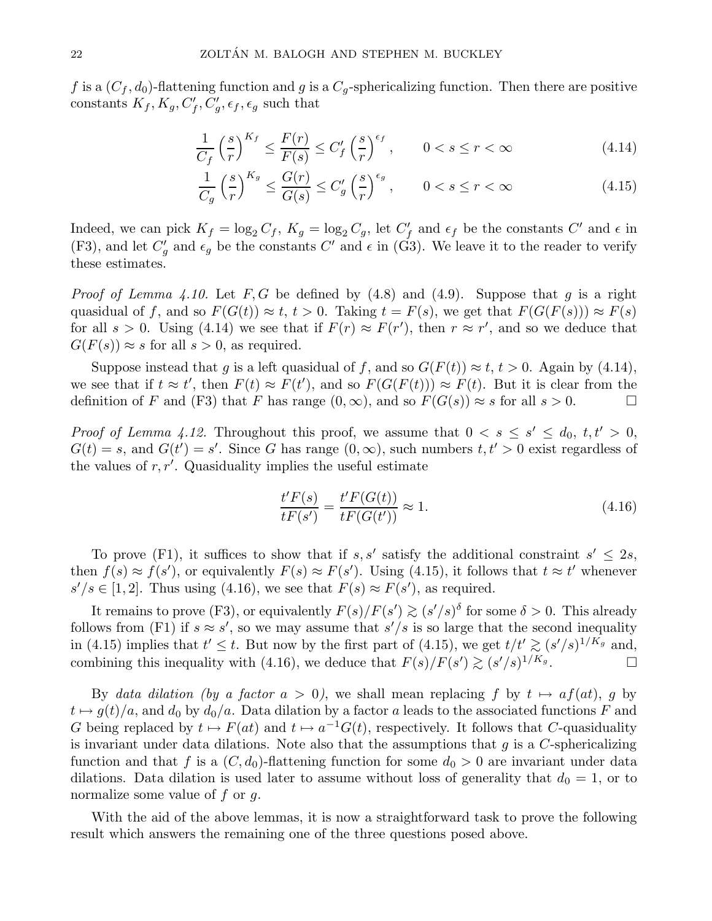f is a  $(C_f, d_0)$ -flattening function and g is a  $C_g$ -sphericalizing function. Then there are positive constants  $K_f, K_g, C'_f, C'_g, \epsilon_f, \epsilon_g$  such that

$$
\frac{1}{C_f} \left(\frac{s}{r}\right)^{K_f} \le \frac{F(r)}{F(s)} \le C'_f \left(\frac{s}{r}\right)^{\epsilon_f}, \qquad 0 < s \le r < \infty \tag{4.14}
$$

$$
\frac{1}{C_g} \left(\frac{s}{r}\right)^{K_g} \le \frac{G(r)}{G(s)} \le C_g' \left(\frac{s}{r}\right)^{\epsilon_g}, \qquad 0 < s \le r < \infty \tag{4.15}
$$

Indeed, we can pick  $K_f = \log_2 C_f$ ,  $K_g = \log_2 C_g$ , let  $C'_f$  and  $\epsilon_f$  be the constants  $C'$  and  $\epsilon$  in (F3), and let  $C'_g$  and  $\epsilon_g$  be the constants  $C'$  and  $\epsilon$  in (G3). We leave it to the reader to verify these estimates.

*Proof of Lemma 4.10.* Let  $F, G$  be defined by  $(4.8)$  and  $(4.9)$ . Suppose that g is a right quasidual of f, and so  $F(G(t)) \approx t$ ,  $t > 0$ . Taking  $t = F(s)$ , we get that  $F(G(F(s))) \approx F(s)$ for all  $s > 0$ . Using (4.14) we see that if  $F(r) \approx F(r')$ , then  $r \approx r'$ , and so we deduce that  $G(F(s)) \approx s$  for all  $s > 0$ , as required.

Suppose instead that g is a left quasidual of f, and so  $G(F(t)) \approx t$ ,  $t > 0$ . Again by (4.14), we see that if  $t \approx t'$ , then  $F(t) \approx F(t')$ , and so  $F(G(F(t))) \approx F(t)$ . But it is clear from the definition of F and (F3) that F has range  $(0, \infty)$ , and so  $F(G(s)) \approx s$  for all  $s > 0$ .

*Proof of Lemma 4.12.* Throughout this proof, we assume that  $0 < s \leq s' \leq d_0, t, t' > 0$ ,  $G(t) = s$ , and  $G(t') = s'$ . Since G has range  $(0, \infty)$ , such numbers  $t, t' > 0$  exist regardless of the values of  $r, r'$ . Quasiduality implies the useful estimate

$$
\frac{t'F(s)}{tF(s')} = \frac{t'F(G(t))}{tF(G(t'))} \approx 1.
$$
\n(4.16)

To prove (F1), it suffices to show that if s, s' satisfy the additional constraint  $s' \leq 2s$ , then  $f(s) \approx f(s')$ , or equivalently  $F(s) \approx F(s')$ . Using (4.15), it follows that  $t \approx t'$  whenever  $s'/s \in [1,2]$ . Thus using (4.16), we see that  $F(s) \approx F(s')$ , as required.

It remains to prove (F3), or equivalently  $F(s)/F(s') \gtrsim (s'/s)^{\delta}$  for some  $\delta > 0$ . This already follows from (F1) if  $s \approx s'$ , so we may assume that  $s'/s$  is so large that the second inequality in (4.15) implies that  $t' \leq t$ . But now by the first part of (4.15), we get  $t/t' \gtrsim (s'/s)^{1/K_g}$  and, combining this inequality with (4.16), we deduce that  $F(s)/F(s') \gtrsim (s'/s)^{1/K_g}$ .  $\Box$ 

By data dilation (by a factor  $a > 0$ ), we shall mean replacing f by  $t \mapsto af(at)$ , g by  $t \mapsto g(t)/a$ , and  $d_0$  by  $d_0/a$ . Data dilation by a factor a leads to the associated functions F and G being replaced by  $t \mapsto F(at)$  and  $t \mapsto a^{-1}G(t)$ , respectively. It follows that C-quasiduality is invariant under data dilations. Note also that the assumptions that  $g$  is a C-sphericalizing function and that f is a  $(C, d_0)$ -flattening function for some  $d_0 > 0$  are invariant under data dilations. Data dilation is used later to assume without loss of generality that  $d_0 = 1$ , or to normalize some value of  $f$  or  $q$ .

With the aid of the above lemmas, it is now a straightforward task to prove the following result which answers the remaining one of the three questions posed above.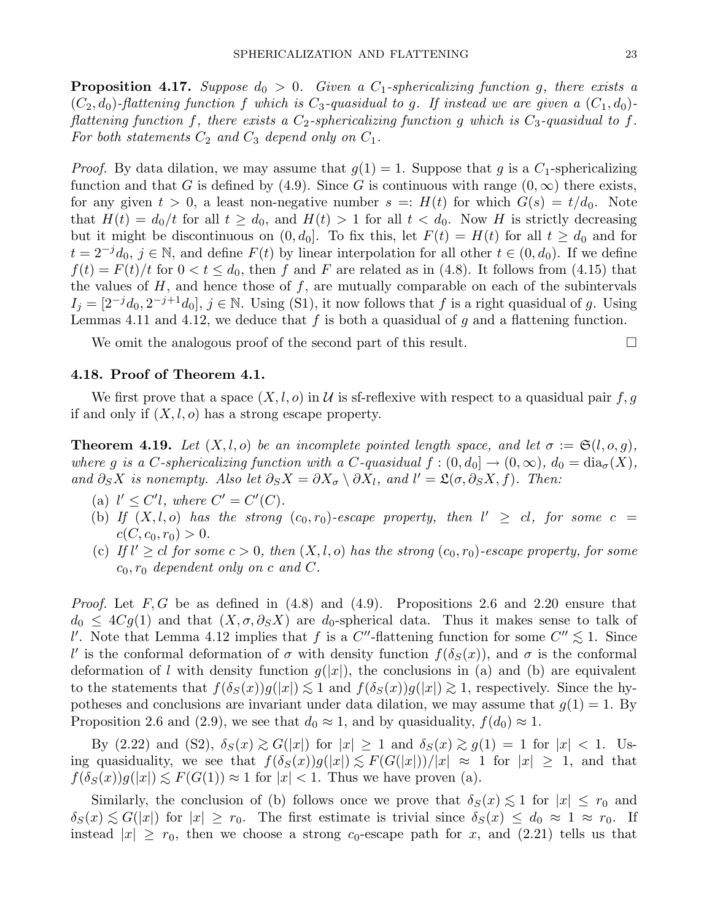**Proposition 4.17.** Suppose  $d_0 > 0$ . Given a  $C_1$ -sphericalizing function g, there exists a  $(C_2, d_0)$ -flattening function f which is  $C_3$ -quasidual to g. If instead we are given a  $(C_1, d_0)$ flattening function f, there exists a  $C_2$ -sphericalizing function g which is  $C_3$ -quasidual to f. For both statements  $C_2$  and  $C_3$  depend only on  $C_1$ .

*Proof.* By data dilation, we may assume that  $g(1) = 1$ . Suppose that g is a  $C_1$ -sphericalizing function and that G is defined by (4.9). Since G is continuous with range  $(0, \infty)$  there exists, for any given  $t > 0$ , a least non-negative number  $s = H(t)$  for which  $G(s) = t/d_0$ . Note that  $H(t) = d_0/t$  for all  $t \geq d_0$ , and  $H(t) > 1$  for all  $t < d_0$ . Now H is strictly decreasing but it might be discontinuous on  $(0, d_0]$ . To fix this, let  $F(t) = H(t)$  for all  $t \geq d_0$  and for  $t = 2^{-j}d_0, j \in \mathbb{N}$ , and define  $F(t)$  by linear interpolation for all other  $t \in (0, d_0)$ . If we define  $f(t) = F(t)/t$  for  $0 < t \le d_0$ , then f and F are related as in (4.8). It follows from (4.15) that the values of  $H$ , and hence those of  $f$ , are mutually comparable on each of the subintervals  $I_j = [2^{-j}d_0, 2^{-j+1}d_0], j \in \mathbb{N}$ . Using (S1), it now follows that f is a right quasidual of g. Using Lemmas 4.11 and 4.12, we deduce that f is both a quasidual of q and a flattening function.

We omit the analogous proof of the second part of this result.

## 4.18. Proof of Theorem 4.1.

We first prove that a space  $(X, l, o)$  in U is sf-reflexive with respect to a quasidual pair f, q if and only if  $(X, l, o)$  has a strong escape property.

**Theorem 4.19.** Let  $(X, l, o)$  be an incomplete pointed length space, and let  $\sigma := \mathfrak{S}(l, o, g)$ , where g is a C-sphericalizing function with a C-quasidual  $f:(0,d_0] \to (0,\infty)$ ,  $d_0 = \text{dia}_{\sigma}(X)$ , and  $\partial_S X$  is nonempty. Also let  $\partial_S X = \partial X_{\sigma} \setminus \partial X_l$ , and  $l' = \mathfrak{L}(\sigma, \partial_S X, f)$ . Then:

- (a)  $l' \leq C'l$ , where  $C' = C'(C)$ .
- (b) If  $(X, l, o)$  has the strong  $(c_0, r_0)$ -escape property, then  $l' \geq cl$ , for some  $c =$  $c(C, c_0, r_0) > 0.$
- (c) If  $l' \geq cl$  for some  $c > 0$ , then  $(X, l, o)$  has the strong  $(c_0, r_0)$ -escape property, for some  $c_0, r_0$  dependent only on c and C.

*Proof.* Let  $F, G$  be as defined in (4.8) and (4.9). Propositions 2.6 and 2.20 ensure that  $d_0 \leq 4Cg(1)$  and that  $(X, \sigma, \partial_S X)$  are  $d_0$ -spherical data. Thus it makes sense to talk of l'. Note that Lemma 4.12 implies that f is a  $C''$ -flattening function for some  $C'' \lesssim 1$ . Since l' is the conformal deformation of  $\sigma$  with density function  $f(\delta_S(x))$ , and  $\sigma$  is the conformal deformation of l with density function  $g(|x|)$ , the conclusions in (a) and (b) are equivalent to the statements that  $f(\delta_S(x))g(|x|) \lesssim 1$  and  $f(\delta_S(x))g(|x|) \gtrsim 1$ , respectively. Since the hypotheses and conclusions are invariant under data dilation, we may assume that  $g(1) = 1$ . By Proposition 2.6 and (2.9), we see that  $d_0 \approx 1$ , and by quasiduality,  $f(d_0) \approx 1$ .

By (2.22) and (S2),  $\delta_S(x) \gtrsim G(|x|)$  for  $|x| \geq 1$  and  $\delta_S(x) \gtrsim g(1) = 1$  for  $|x| < 1$ . Using quasiduality, we see that  $f(\delta_S(x))g(|x|) \lesssim F(G(|x|))/|x| \approx 1$  for  $|x| \geq 1$ , and that  $f(\delta_S(x))g(|x|) \lesssim F(G(1)) \approx 1$  for  $|x| < 1$ . Thus we have proven (a).

Similarly, the conclusion of (b) follows once we prove that  $\delta_S(x) \lesssim 1$  for  $|x| \leq r_0$  and  $\delta_S(x) \lesssim G(|x|)$  for  $|x| \geq r_0$ . The first estimate is trivial since  $\delta_S(x) \leq d_0 \approx 1 \approx r_0$ . If instead  $|x| \ge r_0$ , then we choose a strong  $c_0$ -escape path for x, and  $(2.21)$  tells us that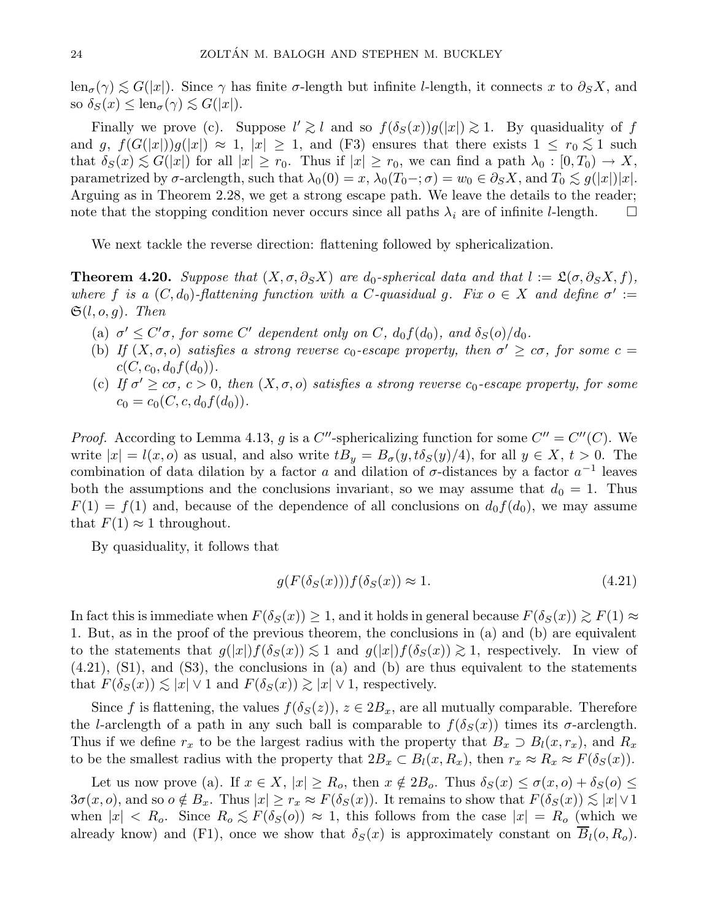$\text{len}_{\sigma}(\gamma) \lesssim G(|x|)$ . Since  $\gamma$  has finite  $\sigma$ -length but infinite *l*-length, it connects x to  $\partial_S X$ , and so  $\delta_S(x) \leq \text{len}_{\sigma}(\gamma) \lesssim G(|x|).$ 

Finally we prove (c). Suppose  $l' \geq l$  and so  $f(\delta_S(x))g(|x|) \geq 1$ . By quasiduality of f and g,  $f(G(|x|))g(|x|) \approx 1$ ,  $|x| \geq 1$ , and (F3) ensures that there exists  $1 \leq r_0 \leq 1$  such that  $\delta_S(x) \lesssim G(|x|)$  for all  $|x| \geq r_0$ . Thus if  $|x| \geq r_0$ , we can find a path  $\lambda_0 : [0, T_0] \to X$ , parametrized by  $\sigma$ -arclength, such that  $\lambda_0(0) = x$ ,  $\lambda_0(T_0-\sigma) = w_0 \in \partial_S X$ , and  $T_0 \lesssim g(|x|)|x|$ . Arguing as in Theorem 2.28, we get a strong escape path. We leave the details to the reader; note that the stopping condition never occurs since all paths  $\lambda_i$  are of infinite *l*-length.  $\square$ 

We next tackle the reverse direction: flattening followed by sphericalization.

**Theorem 4.20.** Suppose that  $(X, \sigma, \partial_S X)$  are  $d_0$ -spherical data and that  $l := \mathfrak{L}(\sigma, \partial_S X, f)$ , where f is a  $(C, d_0)$ -flattening function with a C-quasidual g. Fix  $o \in X$  and define  $\sigma' :=$  $\mathfrak{S}(l, o, g)$ . Then

- (a)  $\sigma' \leq C' \sigma$ , for some C' dependent only on C,  $d_0 f(d_0)$ , and  $\delta_S(o)/d_0$ .
- (b) If  $(X, \sigma, o)$  satisfies a strong reverse  $c_0$ -escape property, then  $\sigma' \geq c\sigma$ , for some  $c =$  $c(C, c_0, d_0 f(d_0)).$
- (c) If  $\sigma' \geq c\sigma$ ,  $c > 0$ , then  $(X, \sigma, o)$  satisfies a strong reverse  $c_0$ -escape property, for some  $c_0 = c_0(C, c, d_0 f(d_0)).$

*Proof.* According to Lemma 4.13, g is a C''-sphericalizing function for some  $C'' = C''(C)$ . We write  $|x| = l(x, 0)$  as usual, and also write  $tB_y = B_\sigma(y, t\delta_S(y)/4)$ , for all  $y \in X, t > 0$ . The combination of data dilation by a factor a and dilation of  $\sigma$ -distances by a factor  $a^{-1}$  leaves both the assumptions and the conclusions invariant, so we may assume that  $d_0 = 1$ . Thus  $F(1) = f(1)$  and, because of the dependence of all conclusions on  $d_0 f(d_0)$ , we may assume that  $F(1) \approx 1$  throughout.

By quasiduality, it follows that

$$
g(F(\delta_S(x)))f(\delta_S(x)) \approx 1. \tag{4.21}
$$

In fact this is immediate when  $F(\delta_S(x)) \geq 1$ , and it holds in general because  $F(\delta_S(x)) \geq F(1) \approx$ 1. But, as in the proof of the previous theorem, the conclusions in (a) and (b) are equivalent to the statements that  $g(|x|)f(\delta_S(x)) \lesssim 1$  and  $g(|x|)f(\delta_S(x)) \gtrsim 1$ , respectively. In view of (4.21), (S1), and (S3), the conclusions in (a) and (b) are thus equivalent to the statements that  $F(\delta_S(x)) \lesssim |x| \vee 1$  and  $F(\delta_S(x)) \gtrsim |x| \vee 1$ , respectively.

Since f is flattening, the values  $f(\delta_S(z))$ ,  $z \in 2B_x$ , are all mutually comparable. Therefore the l-arclength of a path in any such ball is comparable to  $f(\delta_S(x))$  times its  $\sigma$ -arclength. Thus if we define  $r_x$  to be the largest radius with the property that  $B_x \supset B_l(x, r_x)$ , and  $R_x$ to be the smallest radius with the property that  $2B_x \subset B_l(x, R_x)$ , then  $r_x \approx R_x \approx F(\delta_S(x))$ .

Let us now prove (a). If  $x \in X$ ,  $|x| \ge R_o$ , then  $x \notin 2B_o$ . Thus  $\delta_S(x) \le \sigma(x, o) + \delta_S(o) \le$  $3\sigma(x, o)$ , and so  $o \notin B_x$ . Thus  $|x| \geq r_x \approx F(\delta_S(x))$ . It remains to show that  $F(\delta_S(x)) \lesssim |x| \vee 1$ when  $|x| < R_o$ . Since  $R_o \lesssim F(\delta_S(o)) \approx 1$ , this follows from the case  $|x| = R_o$  (which we already know) and (F1), once we show that  $\delta_S(x)$  is approximately constant on  $B_l(o, R_o)$ .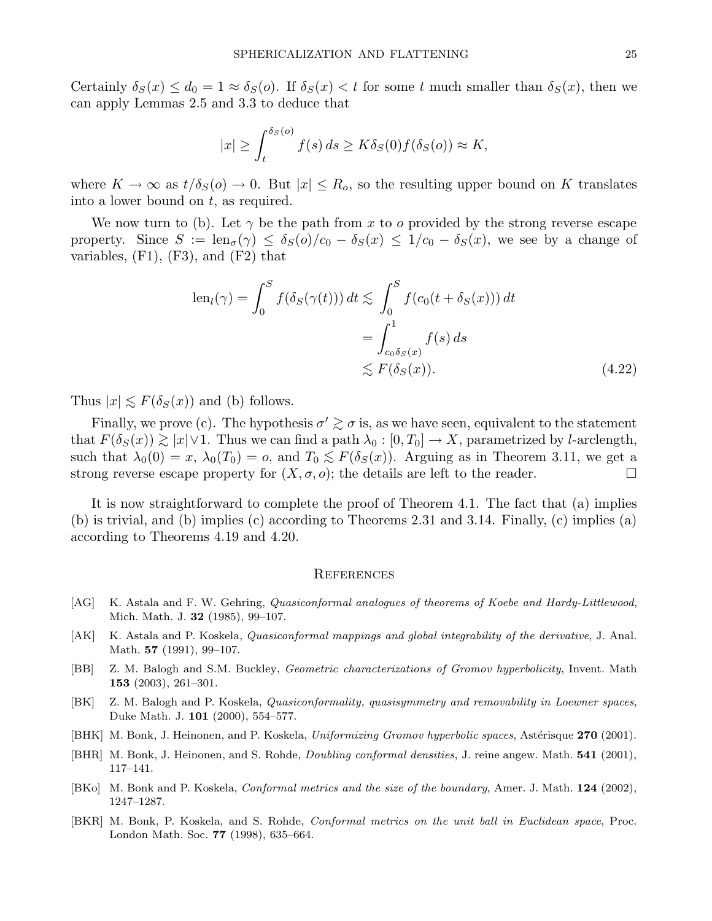Certainly  $\delta_S(x) \leq d_0 = 1 \approx \delta_S(\mathfrak{o})$ . If  $\delta_S(x) < t$  for some t much smaller than  $\delta_S(x)$ , then we can apply Lemmas 2.5 and 3.3 to deduce that

$$
|x| \ge \int_t^{\delta_S(o)} f(s) \, ds \ge K \delta_S(0) f(\delta_S(o)) \approx K,
$$

where  $K \to \infty$  as  $t/\delta_S(o) \to 0$ . But  $|x| \leq R_o$ , so the resulting upper bound on K translates into a lower bound on  $t$ , as required.

We now turn to (b). Let  $\gamma$  be the path from x to o provided by the strong reverse escape property. Since  $S := \text{len}_{\sigma}(\gamma) \leq \delta_S(o)/c_0 - \delta_S(x) \leq 1/c_0 - \delta_S(x)$ , we see by a change of variables,  $(F1)$ ,  $(F3)$ , and  $(F2)$  that

$$
\operatorname{len}_{l}(\gamma) = \int_{0}^{S} f(\delta_{S}(\gamma(t))) dt \lesssim \int_{0}^{S} f(c_{0}(t + \delta_{S}(x))) dt
$$

$$
= \int_{c_{0}\delta_{S}(x)}^{1} f(s) ds
$$

$$
\lesssim F(\delta_{S}(x)). \tag{4.22}
$$

Thus  $|x| \lesssim F(\delta_S(x))$  and (b) follows.

Finally, we prove (c). The hypothesis  $\sigma' \gtrsim \sigma$  is, as we have seen, equivalent to the statement that  $F(\delta_S(x)) \gtrsim |x| \vee 1$ . Thus we can find a path  $\lambda_0 : [0, T_0] \to X$ , parametrized by l-arclength, such that  $\lambda_0(0) = x$ ,  $\lambda_0(T_0) = o$ , and  $T_0 \lesssim F(\delta_S(x))$ . Arguing as in Theorem 3.11, we get a strong reverse escape property for  $(X, \sigma, o)$ ; the details are left to the reader. strong reverse escape property for  $(X, \sigma, o)$ ; the details are left to the reader.

It is now straightforward to complete the proof of Theorem 4.1. The fact that (a) implies (b) is trivial, and (b) implies (c) according to Theorems 2.31 and 3.14. Finally, (c) implies (a) according to Theorems 4.19 and 4.20.

#### **REFERENCES**

- [AG] K. Astala and F. W. Gehring, Quasiconformal analogues of theorems of Koebe and Hardy-Littlewood, Mich. Math. J. 32 (1985), 99–107.
- [AK] K. Astala and P. Koskela, Quasiconformal mappings and global integrability of the derivative, J. Anal. Math. **57** (1991), 99-107.
- [BB] Z. M. Balogh and S.M. Buckley, *Geometric characterizations of Gromov hyperbolicity*, Invent. Math 153 (2003), 261–301.
- [BK] Z. M. Balogh and P. Koskela, Quasiconformality, quasisymmetry and removability in Loewner spaces, Duke Math. J. 101 (2000), 554–577.
- [BHK] M. Bonk, J. Heinonen, and P. Koskela, Uniformizing Gromov hyperbolic spaces, Astérisque 270 (2001).
- [BHR] M. Bonk, J. Heinonen, and S. Rohde, *Doubling conformal densities*, J. reine angew. Math. **541** (2001), 117–141.
- [BKo] M. Bonk and P. Koskela, Conformal metrics and the size of the boundary, Amer. J. Math. 124 (2002), 1247–1287.
- [BKR] M. Bonk, P. Koskela, and S. Rohde, Conformal metrics on the unit ball in Euclidean space, Proc. London Math. Soc. 77 (1998), 635–664.